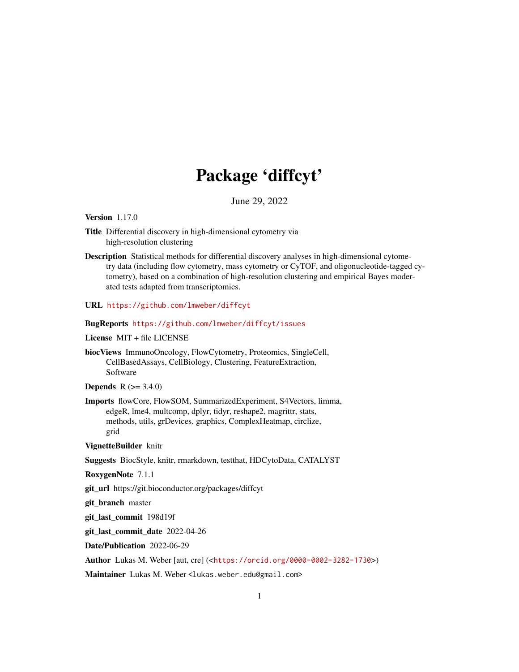## Package 'diffcyt'

June 29, 2022

<span id="page-0-0"></span>Version 1.17.0

- Title Differential discovery in high-dimensional cytometry via high-resolution clustering
- Description Statistical methods for differential discovery analyses in high-dimensional cytometry data (including flow cytometry, mass cytometry or CyTOF, and oligonucleotide-tagged cytometry), based on a combination of high-resolution clustering and empirical Bayes moderated tests adapted from transcriptomics.
- URL <https://github.com/lmweber/diffcyt>

## BugReports <https://github.com/lmweber/diffcyt/issues>

License MIT + file LICENSE

biocViews ImmunoOncology, FlowCytometry, Proteomics, SingleCell, CellBasedAssays, CellBiology, Clustering, FeatureExtraction, Software

**Depends** R  $(>= 3.4.0)$ 

Imports flowCore, FlowSOM, SummarizedExperiment, S4Vectors, limma, edgeR, lme4, multcomp, dplyr, tidyr, reshape2, magrittr, stats, methods, utils, grDevices, graphics, ComplexHeatmap, circlize, grid

VignetteBuilder knitr

Suggests BiocStyle, knitr, rmarkdown, testthat, HDCytoData, CATALYST

RoxygenNote 7.1.1

git\_url https://git.bioconductor.org/packages/diffcyt

git\_branch master

git\_last\_commit 198d19f

git\_last\_commit\_date 2022-04-26

Date/Publication 2022-06-29

Author Lukas M. Weber [aut, cre] (<<https://orcid.org/0000-0002-3282-1730>>)

Maintainer Lukas M. Weber<lukas.weber.edu@gmail.com>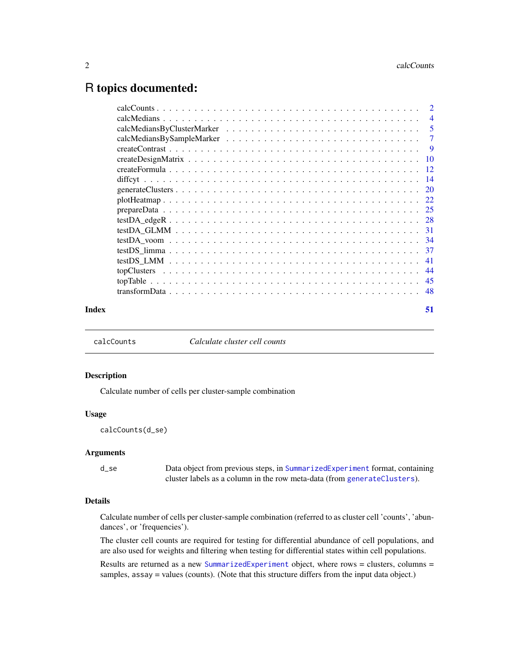## <span id="page-1-0"></span>R topics documented:

| Index | 51 |
|-------|----|

<span id="page-1-1"></span>calcCounts *Calculate cluster cell counts*

#### Description

Calculate number of cells per cluster-sample combination

## Usage

calcCounts(d\_se)

## Arguments

d\_se Data object from previous steps, in [SummarizedExperiment](#page-0-0) format, containing cluster labels as a column in the row meta-data (from [generateClusters](#page-19-1)).

## Details

Calculate number of cells per cluster-sample combination (referred to as cluster cell 'counts', 'abundances', or 'frequencies').

The cluster cell counts are required for testing for differential abundance of cell populations, and are also used for weights and filtering when testing for differential states within cell populations.

Results are returned as a new [SummarizedExperiment](#page-0-0) object, where rows = clusters, columns = samples, assay = values (counts). (Note that this structure differs from the input data object.)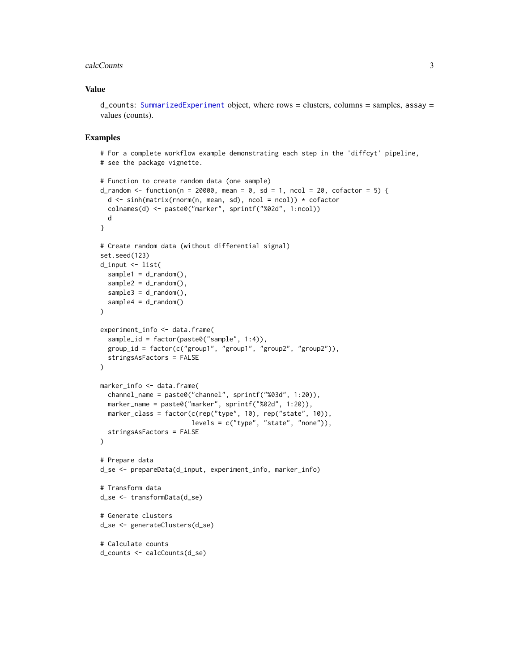#### calcCounts 3

## Value

 $d$  counts: [SummarizedExperiment](#page-0-0) object, where rows = clusters, columns = samples, assay = values (counts).

```
# For a complete workflow example demonstrating each step in the 'diffcyt' pipeline,
# see the package vignette.
# Function to create random data (one sample)
d_random <- function(n = 20000, mean = 0, sd = 1, ncol = 20, cofactor = 5) {
  d <- sinh(matrix(rnorm(n, mean, sd), ncol = ncol)) * cofactor
  colnames(d) <- paste0("marker", sprintf("%02d", 1:ncol))
  d
}
# Create random data (without differential signal)
set.seed(123)
d_input <- list(
  sample1 = d_r andom(),
  sample2 = d_random(),
  sample3 = d_random(),
  sample4 = d_random())
experiment_info <- data.frame(
  sample_id = factor(paste0("sample", 1:4)),
  group_id = factor(c("group1", "group1", "group2", "group2")),
  stringsAsFactors = FALSE
)
marker_info <- data.frame(
  channel_name = paste0("channel", sprintf("%03d", 1:20)),
  marker_name = paste0("marker", sprintf("%02d", 1:20)),
  marker_class = factor(c(rep("type", 10), rep("state", 10)),
                        levels = c("type", "state", "none")),
  stringsAsFactors = FALSE
\lambda# Prepare data
d_se <- prepareData(d_input, experiment_info, marker_info)
# Transform data
d_se <- transformData(d_se)
# Generate clusters
d_se <- generateClusters(d_se)
# Calculate counts
d_counts <- calcCounts(d_se)
```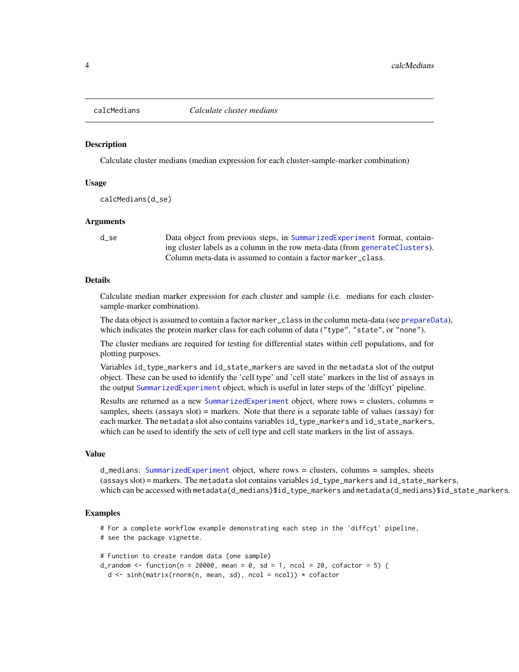<span id="page-3-1"></span><span id="page-3-0"></span>

#### Description

Calculate cluster medians (median expression for each cluster-sample-marker combination)

#### Usage

calcMedians(d\_se)

#### Arguments

d\_se Data object from previous steps, in [SummarizedExperiment](#page-0-0) format, containing cluster labels as a column in the row meta-data (from [generateClusters](#page-19-1)). Column meta-data is assumed to contain a factor marker\_class.

## Details

Calculate median marker expression for each cluster and sample (i.e. medians for each clustersample-marker combination).

The data object is assumed to contain a factor marker\_class in the column meta-data (see [prepareData](#page-24-1)), which indicates the protein marker class for each column of data ("type", "state", or "none").

The cluster medians are required for testing for differential states within cell populations, and for plotting purposes.

Variables id\_type\_markers and id\_state\_markers are saved in the metadata slot of the output object. These can be used to identify the 'cell type' and 'cell state' markers in the list of assays in the output [SummarizedExperiment](#page-0-0) object, which is useful in later steps of the 'diffcyt' pipeline.

Results are returned as a new [SummarizedExperiment](#page-0-0) object, where rows = clusters, columns = samples, sheets (assays slot) = markers. Note that there is a separate table of values (assay) for each marker. The metadata slot also contains variables id\_type\_markers and id\_state\_markers, which can be used to identify the sets of cell type and cell state markers in the list of assays.

#### Value

d\_medians: [SummarizedExperiment](#page-0-0) object, where rows = clusters, columns = samples, sheets (assays slot) = markers. The metadata slot contains variables id\_type\_markers and id\_state\_markers, which can be accessed with metadata(d\_medians)\$id\_type\_markers and metadata(d\_medians)\$id\_state\_markers.

#### Examples

# For a complete workflow example demonstrating each step in the 'diffcyt' pipeline, # see the package vignette.

```
# Function to create random data (one sample)
d_random <- function(n = 20000, mean = 0, sd = 1, ncol = 20, cofactor = 5) {
 d <- sinh(matrix(rnorm(n, mean, sd), ncol = ncol)) * cofactor
```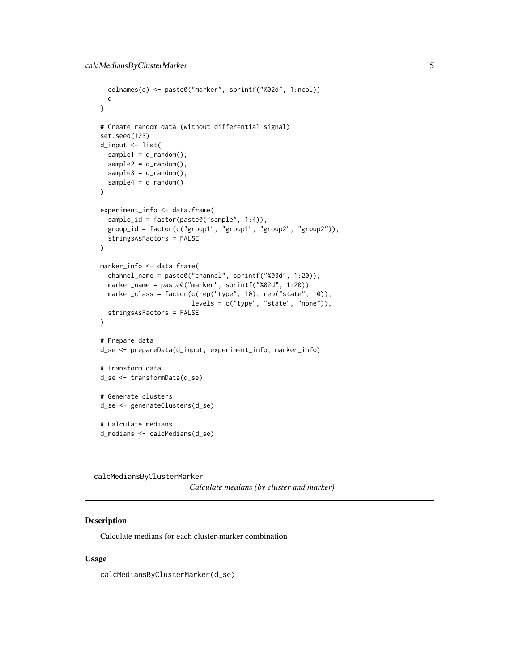```
colnames(d) <- paste0("marker", sprintf("%02d", 1:ncol))
  d
}
# Create random data (without differential signal)
set.seed(123)
d_input <- list(
  sample1 = d_r andom(),
  sample2 = d_r andom(),
  sample3 = d_random(),
  sample4 = d_random()
\mathcal{L}experiment_info <- data.frame(
  sample_id = factor(paste0("sample", 1:4)),
  group_id = factor(c("group1", "group1", "group2", "group2")),
  stringsAsFactors = FALSE
)
marker_info <- data.frame(
  channel_name = paste0("channel", sprintf("%03d", 1:20)),
  marker_name = paste0("marker", sprintf("%02d", 1:20)),
  marker_class = factor(c(rep("type", 10), rep("state", 10)),
                        levels = c("type", "state", "none")),
  stringsAsFactors = FALSE
)
# Prepare data
d_se <- prepareData(d_input, experiment_info, marker_info)
# Transform data
d_se <- transformData(d_se)
# Generate clusters
d_se <- generateClusters(d_se)
# Calculate medians
d_medians <- calcMedians(d_se)
```
calcMediansByClusterMarker

*Calculate medians (by cluster and marker)*

## Description

Calculate medians for each cluster-marker combination

#### Usage

calcMediansByClusterMarker(d\_se)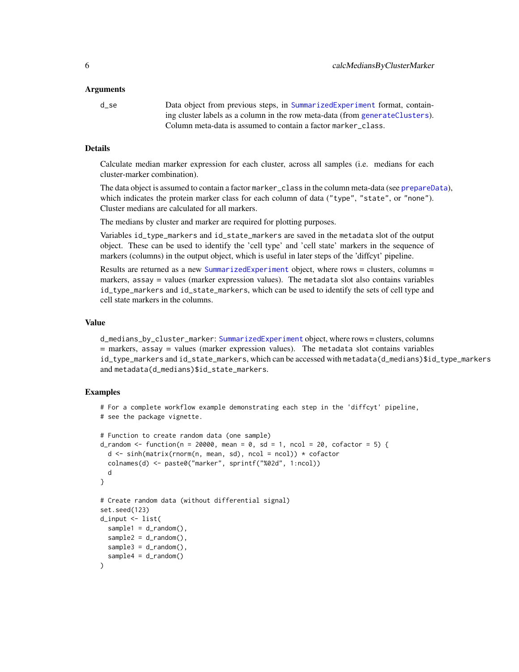#### <span id="page-5-0"></span>Arguments

d\_se Data object from previous steps, in [SummarizedExperiment](#page-0-0) format, containing cluster labels as a column in the row meta-data (from [generateClusters](#page-19-1)). Column meta-data is assumed to contain a factor marker\_class.

#### Details

Calculate median marker expression for each cluster, across all samples (i.e. medians for each cluster-marker combination).

The data object is assumed to contain a factor marker\_class in the column meta-data (see [prepareData](#page-24-1)), which indicates the protein marker class for each column of data ("type", "state", or "none"). Cluster medians are calculated for all markers.

The medians by cluster and marker are required for plotting purposes.

Variables id\_type\_markers and id\_state\_markers are saved in the metadata slot of the output object. These can be used to identify the 'cell type' and 'cell state' markers in the sequence of markers (columns) in the output object, which is useful in later steps of the 'diffcyt' pipeline.

Results are returned as a new [SummarizedExperiment](#page-0-0) object, where rows = clusters, columns = markers, assay = values (marker expression values). The metadata slot also contains variables id\_type\_markers and id\_state\_markers, which can be used to identify the sets of cell type and cell state markers in the columns.

## Value

d\_medians\_by\_cluster\_marker: [SummarizedExperiment](#page-0-0) object, where rows = clusters, columns = markers, assay = values (marker expression values). The metadata slot contains variables id\_type\_markers and id\_state\_markers, which can be accessed with metadata(d\_medians)\$id\_type\_markers and metadata(d\_medians)\$id\_state\_markers.

```
# For a complete workflow example demonstrating each step in the 'diffcyt' pipeline,
# see the package vignette.
# Function to create random data (one sample)
d_random <- function(n = 20000, mean = 0, sd = 1, ncol = 20, cofactor = 5) {
 d \leq \sinh(\text{matrix}(rnorm(n, mean, sd), ncol = ncol)) * cofactorcolnames(d) <- paste0("marker", sprintf("%02d", 1:ncol))
 d
}
# Create random data (without differential signal)
set.seed(123)
d_input <- list(
 sample1 = d_r andom(),
 sample2 = d_r andom(),
 sample3 = d_r andom(),
 sample4 = d_random())
```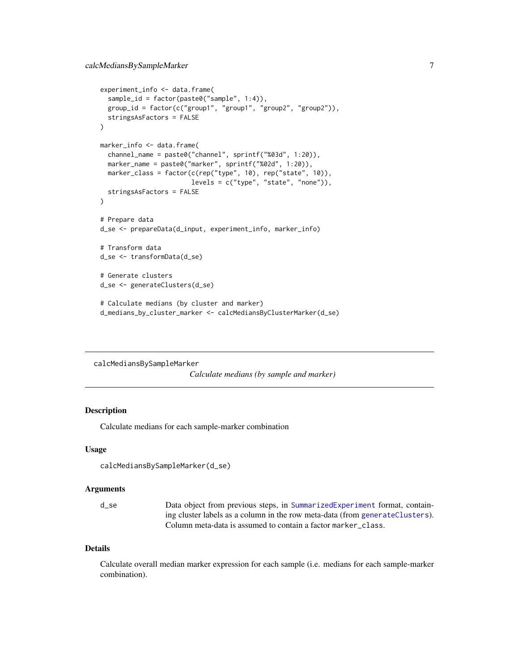```
experiment_info <- data.frame(
 sample_id = factor(paste0("sample", 1:4)),
 group_id = factor(c("group1", "group1", "group2", "group2")),
 stringsAsFactors = FALSE
)
marker_info <- data.frame(
 channel_name = paste0("channel", sprintf("%03d", 1:20)),
 marker_name = paste0("marker", sprintf("%02d", 1:20)),
 marker_class = factor(c(rep("type", 10), rep("state", 10)),
                        levels = c("type", "state", "none")),
 stringsAsFactors = FALSE
)
# Prepare data
d_se <- prepareData(d_input, experiment_info, marker_info)
# Transform data
d_se <- transformData(d_se)
# Generate clusters
d_se <- generateClusters(d_se)
# Calculate medians (by cluster and marker)
d_medians_by_cluster_marker <- calcMediansByClusterMarker(d_se)
```

```
calcMediansBySampleMarker
```
*Calculate medians (by sample and marker)*

## Description

Calculate medians for each sample-marker combination

#### Usage

```
calcMediansBySampleMarker(d_se)
```
## Arguments

d\_se Data object from previous steps, in [SummarizedExperiment](#page-0-0) format, containing cluster labels as a column in the row meta-data (from [generateClusters](#page-19-1)). Column meta-data is assumed to contain a factor marker\_class.

#### Details

Calculate overall median marker expression for each sample (i.e. medians for each sample-marker combination).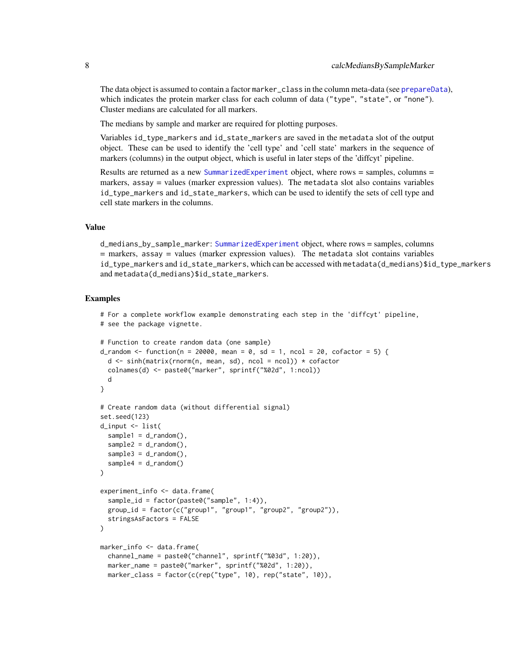<span id="page-7-0"></span>The data object is assumed to contain a factor marker\_class in the column meta-data (see [prepareData](#page-24-1)), which indicates the protein marker class for each column of data ("type", "state", or "none"). Cluster medians are calculated for all markers.

The medians by sample and marker are required for plotting purposes.

Variables id\_type\_markers and id\_state\_markers are saved in the metadata slot of the output object. These can be used to identify the 'cell type' and 'cell state' markers in the sequence of markers (columns) in the output object, which is useful in later steps of the 'diffcyt' pipeline.

Results are returned as a new [SummarizedExperiment](#page-0-0) object, where rows = samples, columns = markers, assay = values (marker expression values). The metadata slot also contains variables id\_type\_markers and id\_state\_markers, which can be used to identify the sets of cell type and cell state markers in the columns.

## Value

d\_medians\_by\_sample\_marker: [SummarizedExperiment](#page-0-0) object, where rows = samples, columns  $=$  markers, assay  $=$  values (marker expression values). The metadata slot contains variables id\_type\_markers and id\_state\_markers, which can be accessed with metadata(d\_medians)\$id\_type\_markers and metadata(d\_medians)\$id\_state\_markers.

```
# For a complete workflow example demonstrating each step in the 'diffcyt' pipeline,
# see the package vignette.
```

```
# Function to create random data (one sample)
d_random \leq function(n = 20000, mean = 0, sd = 1, ncol = 20, cofactor = 5) {
 d <- sinh(matrix(rnorm(n, mean, sd), ncol = ncol)) * cofactor
 colnames(d) <- paste0("marker", sprintf("%02d", 1:ncol))
 d
}
# Create random data (without differential signal)
set.seed(123)
d_input <- list(
 sample1 = d_r andom(),
 sample2 = d_r andom(),
 sample3 = d_r andom(),
 sample4 = d_random())
experiment_info <- data.frame(
 sample_id = factor(paste0("sample", 1:4)),
 group_id = factor(c("group1", "group1", "group2", "group2")),
 stringsAsFactors = FALSE
)
marker_info <- data.frame(
 channel_name = paste0("channel", sprintf("%03d", 1:20)),
 marker_name = paste0("marker", sprintf("%02d", 1:20)),
 marker_class = factor(c(rep("type", 10), rep("state", 10)),
```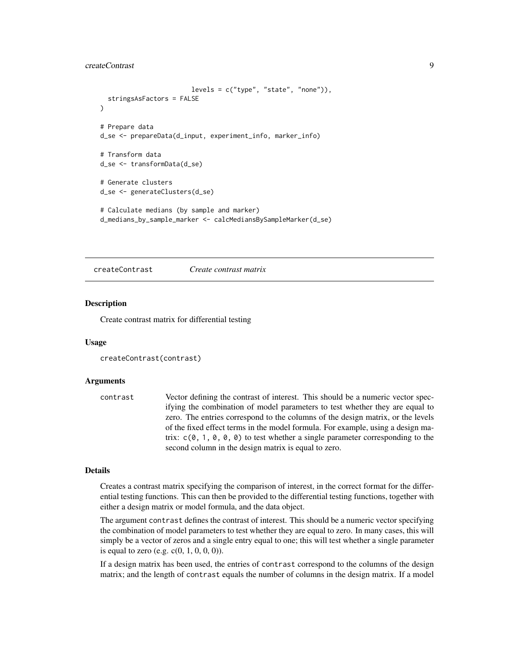## <span id="page-8-0"></span>createContrast 9

```
levels = c("type", "state", "none")),
 stringsAsFactors = FALSE
)
# Prepare data
d_se <- prepareData(d_input, experiment_info, marker_info)
# Transform data
d_se <- transformData(d_se)
# Generate clusters
d_se <- generateClusters(d_se)
# Calculate medians (by sample and marker)
d_medians_by_sample_marker <- calcMediansBySampleMarker(d_se)
```
<span id="page-8-1"></span>createContrast *Create contrast matrix*

#### Description

Create contrast matrix for differential testing

#### Usage

```
createContrast(contrast)
```
#### Arguments

```
contrast Vector defining the contrast of interest. This should be a numeric vector spec-
                  ifying the combination of model parameters to test whether they are equal to
                  zero. The entries correspond to the columns of the design matrix, or the levels
                  of the fixed effect terms in the model formula. For example, using a design ma-
                  trix: c(0, 1, 0, 0, 0) to test whether a single parameter corresponding to the
                  second column in the design matrix is equal to zero.
```
## Details

Creates a contrast matrix specifying the comparison of interest, in the correct format for the differential testing functions. This can then be provided to the differential testing functions, together with either a design matrix or model formula, and the data object.

The argument contrast defines the contrast of interest. This should be a numeric vector specifying the combination of model parameters to test whether they are equal to zero. In many cases, this will simply be a vector of zeros and a single entry equal to one; this will test whether a single parameter is equal to zero (e.g.  $c(0, 1, 0, 0, 0)$ ).

If a design matrix has been used, the entries of contrast correspond to the columns of the design matrix; and the length of contrast equals the number of columns in the design matrix. If a model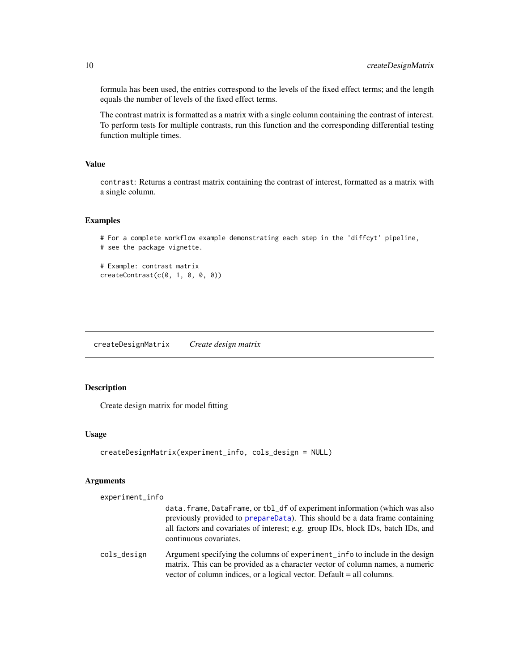formula has been used, the entries correspond to the levels of the fixed effect terms; and the length equals the number of levels of the fixed effect terms.

The contrast matrix is formatted as a matrix with a single column containing the contrast of interest. To perform tests for multiple contrasts, run this function and the corresponding differential testing function multiple times.

## Value

contrast: Returns a contrast matrix containing the contrast of interest, formatted as a matrix with a single column.

## Examples

```
# For a complete workflow example demonstrating each step in the 'diffcyt' pipeline,
# see the package vignette.
```

```
# Example: contrast matrix
createContrast(c(<math>\emptyset</math>, 1, <math>\emptyset</math>, <math>\emptyset</math>, <math>\emptyset</math>)))
```
<span id="page-9-1"></span>createDesignMatrix *Create design matrix*

## Description

Create design matrix for model fitting

#### Usage

```
createDesignMatrix(experiment_info, cols_design = NULL)
```
#### Arguments

experiment\_info

|             | data.frame, DataFrame, or tbl_df of experiment information (which was also                                  |
|-------------|-------------------------------------------------------------------------------------------------------------|
|             | previously provided to prepare Data). This should be a data frame containing                                |
|             | all factors and covariates of interest; e.g. group IDs, block IDs, batch IDs, and<br>continuous covariates. |
| cols_design | Argument specifying the columns of experiment in the oinclude in the design                                 |

matrix. This can be provided as a character vector of column names, a numeric vector of column indices, or a logical vector. Default = all columns.

<span id="page-9-0"></span>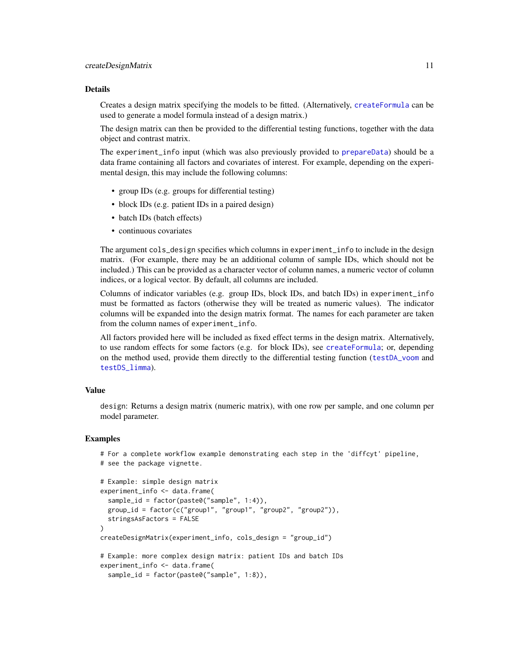#### <span id="page-10-0"></span>Details

Creates a design matrix specifying the models to be fitted. (Alternatively, [createFormula](#page-11-1) can be used to generate a model formula instead of a design matrix.)

The design matrix can then be provided to the differential testing functions, together with the data object and contrast matrix.

The experiment\_info input (which was also previously provided to [prepareData](#page-24-1)) should be a data frame containing all factors and covariates of interest. For example, depending on the experimental design, this may include the following columns:

- group IDs (e.g. groups for differential testing)
- block IDs (e.g. patient IDs in a paired design)
- batch IDs (batch effects)
- continuous covariates

The argument cols\_design specifies which columns in experiment\_info to include in the design matrix. (For example, there may be an additional column of sample IDs, which should not be included.) This can be provided as a character vector of column names, a numeric vector of column indices, or a logical vector. By default, all columns are included.

Columns of indicator variables (e.g. group IDs, block IDs, and batch IDs) in experiment\_info must be formatted as factors (otherwise they will be treated as numeric values). The indicator columns will be expanded into the design matrix format. The names for each parameter are taken from the column names of experiment\_info.

All factors provided here will be included as fixed effect terms in the design matrix. Alternatively, to use random effects for some factors (e.g. for block IDs), see [createFormula](#page-11-1); or, depending on the method used, provide them directly to the differential testing function ([testDA\\_voom](#page-33-1) and [testDS\\_limma](#page-36-1)).

#### Value

design: Returns a design matrix (numeric matrix), with one row per sample, and one column per model parameter.

```
# For a complete workflow example demonstrating each step in the 'diffcyt' pipeline,
# see the package vignette.
# Example: simple design matrix
experiment_info <- data.frame(
 sample_id = factor(paste0("sample", 1:4)),
 group_id = factor(c("group1", "group1", "group2", "group2")),
 stringsAsFactors = FALSE
)
createDesignMatrix(experiment_info, cols_design = "group_id")
# Example: more complex design matrix: patient IDs and batch IDs
experiment_info <- data.frame(
 sample_id = factor(paste0("sample", 1:8)),
```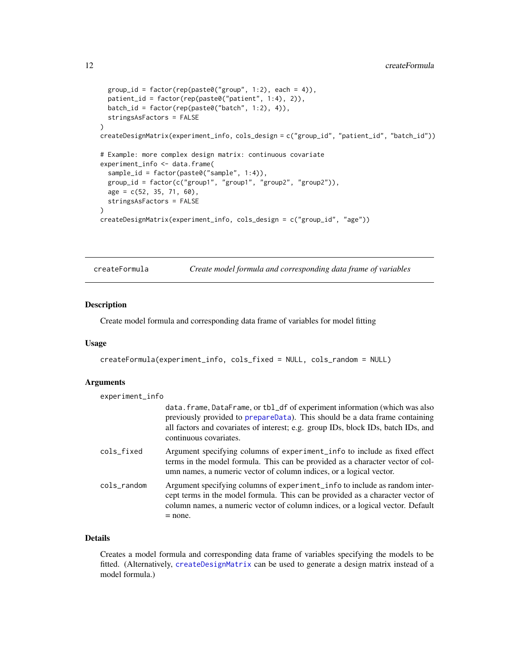```
group_id = factor(rep(paste0("group", 1:2), each = 4)),patient_id = factor(rep(paste0("patient", 1:4), 2)),
 batch_id = factor(rep(paste0("batch", 1:2), 4)),
 stringsAsFactors = FALSE
)
createDesignMatrix(experiment_info, cols_design = c("group_id", "patient_id", "batch_id"))
# Example: more complex design matrix: continuous covariate
experiment_info <- data.frame(
 sample_id = factor(paste0("sample", 1:4)),
 group_id = factor(c("group1", "group1", "group2", "group2")),
 age = c(52, 35, 71, 60),
 stringsAsFactors = FALSE
\lambdacreateDesignMatrix(experiment_info, cols_design = c("group_id", "age"))
```
<span id="page-11-1"></span>createFormula *Create model formula and corresponding data frame of variables*

#### Description

Create model formula and corresponding data frame of variables for model fitting

#### Usage

```
createFormula(experiment_info, cols_fixed = NULL, cols_random = NULL)
```
## Arguments

| experiment_info |                                                                                                                                                                                                                                                                          |
|-----------------|--------------------------------------------------------------------------------------------------------------------------------------------------------------------------------------------------------------------------------------------------------------------------|
|                 | data.frame, DataFrame, or tbl_df of experiment information (which was also<br>previously provided to prepareData). This should be a data frame containing<br>all factors and covariates of interest; e.g. group IDs, block IDs, batch IDs, and<br>continuous covariates. |
| cols_fixed      | Argument specifying columns of experiment_info to include as fixed effect<br>terms in the model formula. This can be provided as a character vector of col-<br>umn names, a numeric vector of column indices, or a logical vector.                                       |
| cols_random     | Argument specifying columns of experiment_info to include as random inter-<br>cept terms in the model formula. This can be provided as a character vector of<br>column names, a numeric vector of column indices, or a logical vector. Default<br>$=$ none.              |

## Details

Creates a model formula and corresponding data frame of variables specifying the models to be fitted. (Alternatively, [createDesignMatrix](#page-9-1) can be used to generate a design matrix instead of a model formula.)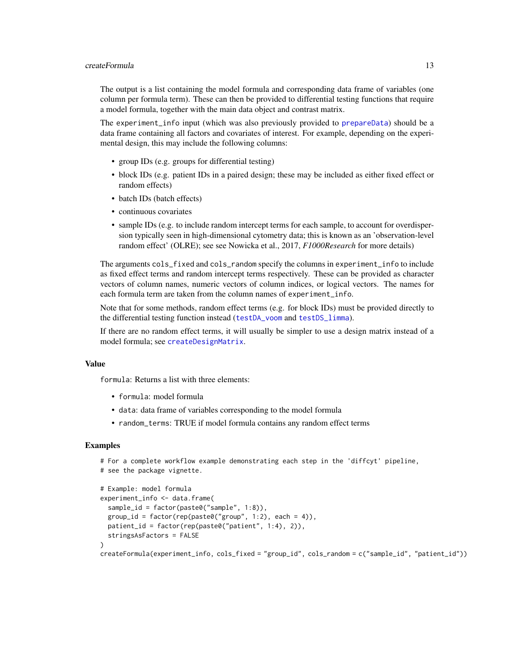#### <span id="page-12-0"></span>createFormula 13

The output is a list containing the model formula and corresponding data frame of variables (one column per formula term). These can then be provided to differential testing functions that require a model formula, together with the main data object and contrast matrix.

The experiment\_info input (which was also previously provided to [prepareData](#page-24-1)) should be a data frame containing all factors and covariates of interest. For example, depending on the experimental design, this may include the following columns:

- group IDs (e.g. groups for differential testing)
- block IDs (e.g. patient IDs in a paired design; these may be included as either fixed effect or random effects)
- batch IDs (batch effects)
- continuous covariates
- sample IDs (e.g. to include random intercept terms for each sample, to account for overdispersion typically seen in high-dimensional cytometry data; this is known as an 'observation-level random effect' (OLRE); see see Nowicka et al., 2017, *F1000Research* for more details)

The arguments cols\_fixed and cols\_random specify the columns in experiment\_info to include as fixed effect terms and random intercept terms respectively. These can be provided as character vectors of column names, numeric vectors of column indices, or logical vectors. The names for each formula term are taken from the column names of experiment\_info.

Note that for some methods, random effect terms (e.g. for block IDs) must be provided directly to the differential testing function instead ([testDA\\_voom](#page-33-1) and [testDS\\_limma](#page-36-1)).

If there are no random effect terms, it will usually be simpler to use a design matrix instead of a model formula; see [createDesignMatrix](#page-9-1).

## Value

formula: Returns a list with three elements:

- formula: model formula
- data: data frame of variables corresponding to the model formula
- random\_terms: TRUE if model formula contains any random effect terms

```
# For a complete workflow example demonstrating each step in the 'diffcyt' pipeline,
# see the package vignette.
```

```
# Example: model formula
experiment_info <- data.frame(
 sample_id = factor(paste0("sample", 1:8)),
 group_id = factor(rep(paste@("group", 1:2), each = 4)),patient_id = factor(rep(paste0("patient", 1:4), 2)),
 stringsAsFactors = FALSE
\lambdacreateFormula(experiment_info, cols_fixed = "group_id", cols_random = c("sample_id", "patient_id"))
```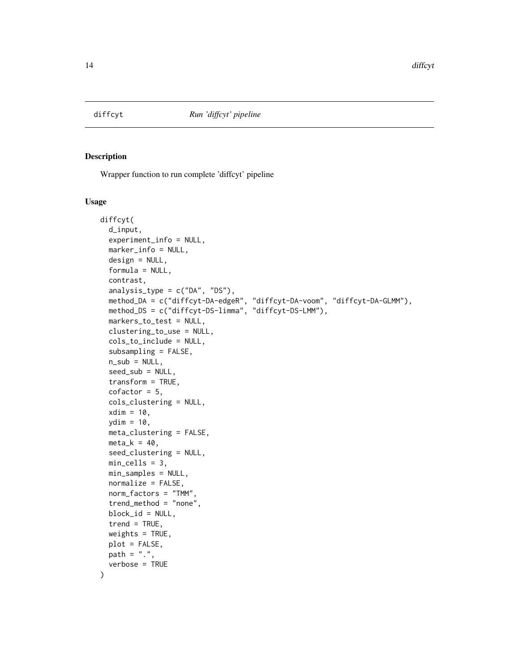<span id="page-13-1"></span><span id="page-13-0"></span>

#### Description

Wrapper function to run complete 'diffcyt' pipeline

#### Usage

```
diffcyt(
  d_input,
  experiment_info = NULL,
  marker_info = NULL,
  design = NULL,
  formula = NULL,
  contrast,
  analysis_type = c("DA", "DS"),method_DA = c("diffcyt-DA-edgeR", "diffcyt-DA-voom", "diffcyt-DA-GLMM"),
  method_DS = c("diffcyt-DS-limma", "diffcyt-DS-LMM"),
  markers_to_test = NULL,
  clustering_to_use = NULL,
  cols_to_include = NULL,
  subsampling = FALSE,
  n_sub = NULL,
  seed_sub = NULL,
  transform = TRUE,
  cofactor = 5,
  cols_clustering = NULL,
  xdim = 10,
  ydim = 10,
  meta_clustering = FALSE,
 meta_k = 40,
  seed_clustering = NULL,
  min_cells = 3,
 min_samples = NULL,
  normalize = FALSE,
  norm_factors = "TMM",
  trend_method = "none",
  block_id = NULL,
  trend = TRUE,weights = TRUE,
  plot = FALSE,
 path = ".'',verbose = TRUE
)
```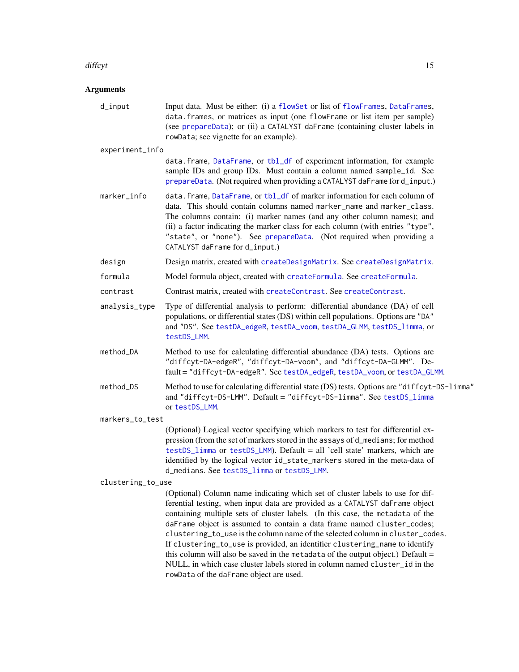#### <span id="page-14-0"></span>diffeyt that the contract of the contract of the contract of the contract of the contract of the contract of the contract of the contract of the contract of the contract of the contract of the contract of the contract of t

## Arguments

| d_input           | Input data. Must be either: (i) a flowSet or list of flowFrames, DataFrames,<br>data.frames, or matrices as input (one flowFrame or list item per sample)<br>(see prepareData); or (ii) a CATALYST daFrame (containing cluster labels in<br>rowData; see vignette for an example).                                                                                                                                         |  |
|-------------------|----------------------------------------------------------------------------------------------------------------------------------------------------------------------------------------------------------------------------------------------------------------------------------------------------------------------------------------------------------------------------------------------------------------------------|--|
| experiment_info   |                                                                                                                                                                                                                                                                                                                                                                                                                            |  |
|                   | data.frame, DataFrame, or tbl_df of experiment information, for example<br>sample IDs and group IDs. Must contain a column named sample_id. See<br>prepareData. (Not required when providing a CATALYST daFrame for d_input.)                                                                                                                                                                                              |  |
| marker_info       | data.frame, DataFrame, or tbl_df of marker information for each column of<br>data. This should contain columns named marker_name and marker_class.<br>The columns contain: (i) marker names (and any other column names); and<br>(ii) a factor indicating the marker class for each column (with entries "type",<br>"state", or "none"). See prepareData. (Not required when providing a<br>CATALYST daFrame for d_input.) |  |
| design            | Design matrix, created with createDesignMatrix. See createDesignMatrix.                                                                                                                                                                                                                                                                                                                                                    |  |
| formula           | Model formula object, created with createFormula. See createFormula.                                                                                                                                                                                                                                                                                                                                                       |  |
| contrast          | Contrast matrix, created with createContrast. See createContrast.                                                                                                                                                                                                                                                                                                                                                          |  |
| analysis_type     | Type of differential analysis to perform: differential abundance (DA) of cell<br>populations, or differential states (DS) within cell populations. Options are "DA"<br>and "DS". See testDA_edgeR, testDA_voom, testDA_GLMM, testDS_limma, or<br>testDS_LMM.                                                                                                                                                               |  |
| method_DA         | Method to use for calculating differential abundance (DA) tests. Options are<br>"diffcyt-DA-edgeR", "diffcyt-DA-voom", and "diffcyt-DA-GLMM". De-<br>fault = "diffcyt-DA-edgeR". See testDA_edgeR, testDA_voom, or testDA_GLMM.                                                                                                                                                                                            |  |
| method_DS         | Method to use for calculating differential state (DS) tests. Options are "diffcyt-DS-limma"<br>and "diffcyt-DS-LMM". Default = "diffcyt-DS-limma". See testDS_limma<br>or testDS_LMM.                                                                                                                                                                                                                                      |  |
| markers_to_test   |                                                                                                                                                                                                                                                                                                                                                                                                                            |  |
|                   | (Optional) Logical vector specifying which markers to test for differential ex-<br>pression (from the set of markers stored in the assays of d_medians; for method<br>testDS_limma or testDS_LMM). Default = all 'cell state' markers, which are<br>identified by the logical vector id_state_markers stored in the meta-data of<br>d_medians. See testDS_limma or testDS_LMM.                                             |  |
| clustering_to_use |                                                                                                                                                                                                                                                                                                                                                                                                                            |  |
|                   | (Optional) Column name indicating which set of cluster labels to use for dif-<br>ferential testing, when input data are provided as a CATALYST daFrame object<br>containing multiple sets of cluster labels. (In this case, the motodata of the                                                                                                                                                                            |  |

containing multiple sets of cluster labels. (In this case, the metadata of the daFrame object is assumed to contain a data frame named cluster\_codes; clustering\_to\_use is the column name of the selected column in cluster\_codes. If clustering\_to\_use is provided, an identifier clustering\_name to identify this column will also be saved in the metadata of the output object.) Default = NULL, in which case cluster labels stored in column named cluster\_id in the rowData of the daFrame object are used.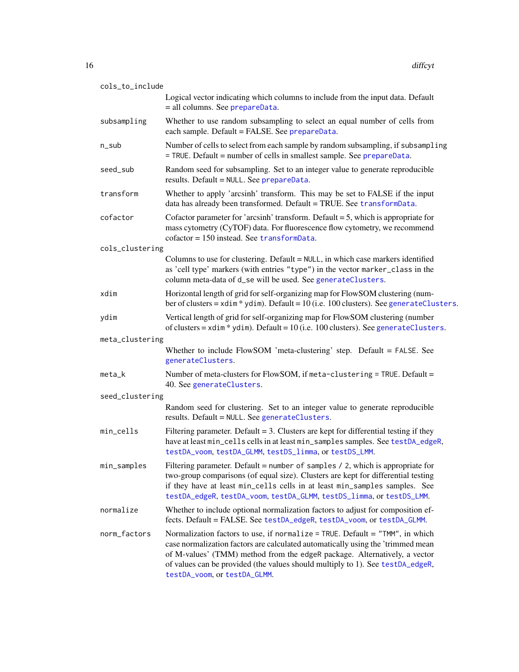<span id="page-15-0"></span>

| cols_to_include |                                                                                                                                                                                                                                                                                                                                                                |
|-----------------|----------------------------------------------------------------------------------------------------------------------------------------------------------------------------------------------------------------------------------------------------------------------------------------------------------------------------------------------------------------|
|                 | Logical vector indicating which columns to include from the input data. Default<br>= all columns. See prepareData.                                                                                                                                                                                                                                             |
| subsampling     | Whether to use random subsampling to select an equal number of cells from<br>each sample. Default = FALSE. See prepareData.                                                                                                                                                                                                                                    |
| n_sub           | Number of cells to select from each sample by random subsampling, if subsampling<br>= TRUE. Default = number of cells in smallest sample. See prepareData.                                                                                                                                                                                                     |
| seed_sub        | Random seed for subsampling. Set to an integer value to generate reproducible<br>results. Default = NULL. See prepareData.                                                                                                                                                                                                                                     |
| transform       | Whether to apply 'arcsinh' transform. This may be set to FALSE if the input<br>data has already been transformed. Default = TRUE. See transformData.                                                                                                                                                                                                           |
| cofactor        | Cofactor parameter for 'arcsinh' transform. Default $=$ 5, which is appropriate for<br>mass cytometry (CyTOF) data. For fluorescence flow cytometry, we recommend<br>$cofactor = 150$ instead. See transformData.                                                                                                                                              |
| cols_clustering |                                                                                                                                                                                                                                                                                                                                                                |
|                 | Columns to use for clustering. Default = NULL, in which case markers identified<br>as 'cell type' markers (with entries "type") in the vector marker_class in the<br>column meta-data of d_se will be used. See generateClusters.                                                                                                                              |
| xdim            | Horizontal length of grid for self-organizing map for FlowSOM clustering (num-<br>ber of clusters = $xdim$ * $ydim$ ). Default = 10 (i.e. 100 clusters). See generateClusters.                                                                                                                                                                                 |
| ydim            | Vertical length of grid for self-organizing map for FlowSOM clustering (number<br>of clusters = $xdim$ * $ydim$ ). Default = 10 (i.e. 100 clusters). See generateClusters.                                                                                                                                                                                     |
| meta_clustering |                                                                                                                                                                                                                                                                                                                                                                |
|                 | Whether to include FlowSOM 'meta-clustering' step. Default = FALSE. See<br>generateClusters.                                                                                                                                                                                                                                                                   |
| meta_k          | Number of meta-clusters for FlowSOM, if meta-clustering = TRUE. Default =<br>40. See generateClusters.                                                                                                                                                                                                                                                         |
| seed_clustering |                                                                                                                                                                                                                                                                                                                                                                |
|                 | Random seed for clustering. Set to an integer value to generate reproducible<br>results. Default = NULL. See generateClusters.                                                                                                                                                                                                                                 |
| min_cells       | Filtering parameter. Default = 3. Clusters are kept for differential testing if they<br>have at least min_cells cells in at least min_samples samples. See testDA_edgeR,<br>testDA_voom, testDA_GLMM, testDS_limma, or testDS_LMM.                                                                                                                             |
| min_samples     | Filtering parameter. Default = number of samples $/$ 2, which is appropriate for<br>two-group comparisons (of equal size). Clusters are kept for differential testing<br>if they have at least min_cells cells in at least min_samples samples. See<br>testDA_edgeR, testDA_voom, testDA_GLMM, testDS_limma, or testDS_LMM.                                    |
| normalize       | Whether to include optional normalization factors to adjust for composition ef-<br>fects. Default = FALSE. See testDA_edgeR, testDA_voom, or testDA_GLMM.                                                                                                                                                                                                      |
| norm_factors    | Normalization factors to use, if normalize = TRUE. Default = "TMM", in which<br>case normalization factors are calculated automatically using the 'trimmed mean<br>of M-values' (TMM) method from the edgeR package. Alternatively, a vector<br>of values can be provided (the values should multiply to 1). See testDA_edgeR,<br>testDA_voom, or testDA_GLMM. |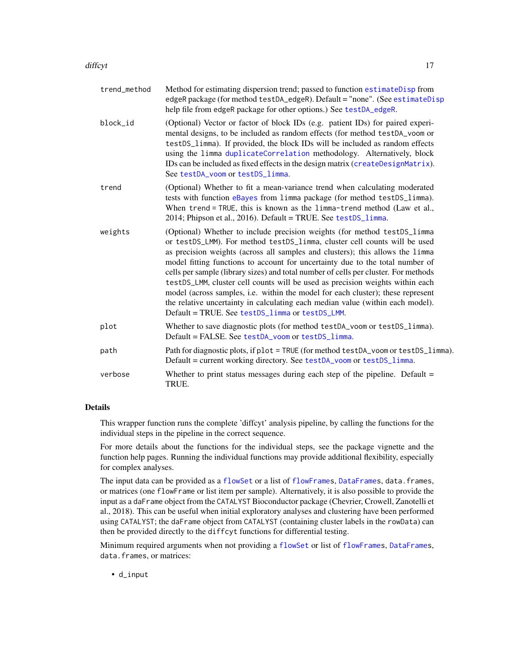#### <span id="page-16-0"></span>diffeyt that the contract of the contract of the contract of the contract of the contract of the contract of the contract of the contract of the contract of the contract of the contract of the contract of the contract of t

| trend_method | Method for estimating dispersion trend; passed to function estimateDisp from<br>edgeR package (for method testDA_edgeR). Default = "none". (See estimateDisp)<br>help file from edgeR package for other options.) See testDA_edgeR.                                                                                                                                                                                                                                                                                                                                                                                                                                                                                     |
|--------------|-------------------------------------------------------------------------------------------------------------------------------------------------------------------------------------------------------------------------------------------------------------------------------------------------------------------------------------------------------------------------------------------------------------------------------------------------------------------------------------------------------------------------------------------------------------------------------------------------------------------------------------------------------------------------------------------------------------------------|
| block_id     | (Optional) Vector or factor of block IDs (e.g. patient IDs) for paired experi-<br>mental designs, to be included as random effects (for method testDA_voom or<br>testDS_limma). If provided, the block IDs will be included as random effects<br>using the limma duplicateCorrelation methodology. Alternatively, block<br>IDs can be included as fixed effects in the design matrix (createDesignMatrix).<br>See testDA_voom or testDS_limma.                                                                                                                                                                                                                                                                          |
| trend        | (Optional) Whether to fit a mean-variance trend when calculating moderated<br>tests with function eBayes from limma package (for method testDS_limma).<br>When trend = TRUE, this is known as the limma-trend method (Law et al.,<br>2014; Phipson et al., 2016). Default = TRUE. See testDS_limma.                                                                                                                                                                                                                                                                                                                                                                                                                     |
| weights      | (Optional) Whether to include precision weights (for method testDS_limma<br>or testDS_LMM). For method testDS_limma, cluster cell counts will be used<br>as precision weights (across all samples and clusters); this allows the limma<br>model fitting functions to account for uncertainty due to the total number of<br>cells per sample (library sizes) and total number of cells per cluster. For methods<br>testDS_LMM, cluster cell counts will be used as precision weights within each<br>model (across samples, i.e. within the model for each cluster); these represent<br>the relative uncertainty in calculating each median value (within each model).<br>Default = TRUE. See testDS_limma or testDS_LMM. |
| plot         | Whether to save diagnostic plots (for method testDA_voom or testDS_limma).<br>Default = FALSE. See testDA_voom or testDS_limma.                                                                                                                                                                                                                                                                                                                                                                                                                                                                                                                                                                                         |
| path         | Path for diagnostic plots, if plot = TRUE (for method testDA_voom or testDS_limma).<br>Default = current working directory. See testDA_voom or testDS_limma.                                                                                                                                                                                                                                                                                                                                                                                                                                                                                                                                                            |
| verbose      | Whether to print status messages during each step of the pipeline. Default $=$<br>TRUE.                                                                                                                                                                                                                                                                                                                                                                                                                                                                                                                                                                                                                                 |

#### Details

This wrapper function runs the complete 'diffcyt' analysis pipeline, by calling the functions for the individual steps in the pipeline in the correct sequence.

For more details about the functions for the individual steps, see the package vignette and the function help pages. Running the individual functions may provide additional flexibility, especially for complex analyses.

The input data can be provided as a [flowSet](#page-0-0) or a list of [flowFrames](#page-0-0), [DataFrames](#page-0-0), data.frames, or matrices (one flowFrame or list item per sample). Alternatively, it is also possible to provide the input as a daFrame object from the CATALYST Bioconductor package (Chevrier, Crowell, Zanotelli et al., 2018). This can be useful when initial exploratory analyses and clustering have been performed using CATALYST; the daFrame object from CATALYST (containing cluster labels in the rowData) can then be provided directly to the diffcyt functions for differential testing.

Minimum required arguments when not providing a [flowSet](#page-0-0) or list of [flowFrames](#page-0-0), [DataFrames](#page-0-0), data.frames, or matrices: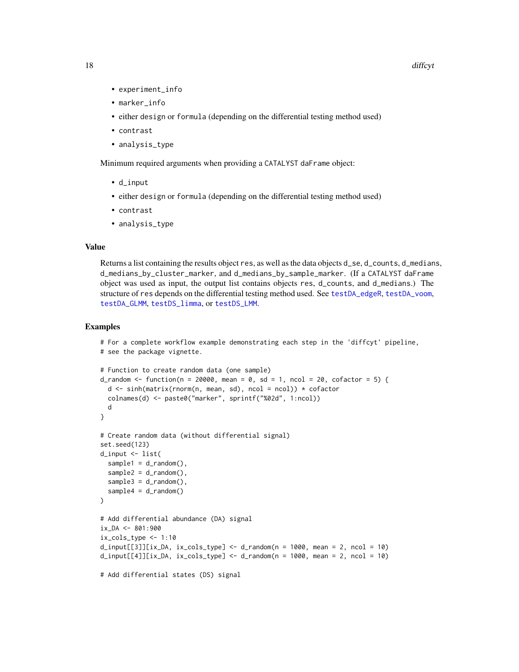- <span id="page-17-0"></span>• experiment\_info
- marker\_info
- either design or formula (depending on the differential testing method used)
- contrast
- analysis\_type

Minimum required arguments when providing a CATALYST daFrame object:

- d\_input
- either design or formula (depending on the differential testing method used)
- contrast
- analysis\_type

#### Value

Returns a list containing the results object res, as well as the data objects d\_se, d\_counts, d\_medians, d\_medians\_by\_cluster\_marker, and d\_medians\_by\_sample\_marker. (If a CATALYST daFrame object was used as input, the output list contains objects res, d\_counts, and d\_medians.) The structure of res depends on the differential testing method used. See [testDA\\_edgeR](#page-27-1), [testDA\\_voom](#page-33-1), [testDA\\_GLMM](#page-30-1), [testDS\\_limma](#page-36-1), or [testDS\\_LMM](#page-40-1).

```
# For a complete workflow example demonstrating each step in the 'diffcyt' pipeline,
# see the package vignette.
# Function to create random data (one sample)
d_random <- function(n = 20000, mean = 0, sd = 1, ncol = 20, cofactor = 5) {
  d <- sinh(matrix(rnorm(n, mean, sd), ncol = ncol)) * cofactor
  colnames(d) <- paste0("marker", sprintf("%02d", 1:ncol))
  d
}
# Create random data (without differential signal)
set.seed(123)
d_input <- list(
  sample1 = d_random(),
  sample2 = d_r andom(),
  sample3 = d_random(),sample4 = d_random()
\mathcal{L}# Add differential abundance (DA) signal
ix_DA <- 801:900
ix\_cols\_type \leftarrow 1:10d_iinput[[3]][ix_DA, ix_cols_type] <- d_i-random(n = 1000, mean = 2, ncol = 10)
d_iinput[[4]][ix_DA, ix_cols_type] <- d_i-random(n = 1000, mean = 2, ncol = 10)
# Add differential states (DS) signal
```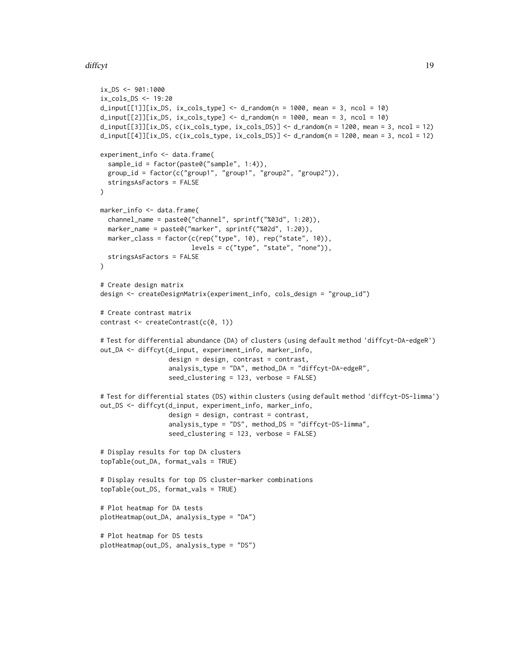### diffeyt the contract of the contract of the contract of the contract of the contract of the contract of the contract of the contract of the contract of the contract of the contract of the contract of the contract of the co

```
ix_DS <- 901:1000
ix_cols_DS <- 19:20
d_i = d_i = [1] [ix_S, ix_cols_type] < - d_i and m(n = 1000, mean = 3, ncol = 10)d_i = d_i = d_i d_input[[2]][ix_DS, ix_cols_type] <- d_i andom(n = 1000, mean = 3, ncol = 10)
d_input[[3]][ix_DS, c(ix_cols_type, ix_cols_DS)] <- d_random(n = 1200, mean = 3, ncol = 12)
d_input[[4]][ix_DS, c(ix\_cols_type, ix\_cols_DS)] <- d_random(n = 1200, mean = 3, ncol = 12)
experiment_info <- data.frame(
 sample_id = factor(paste0("sample", 1:4)),
 group_id = factor(c("group1", "group1", "group2", "group2")),
 stringsAsFactors = FALSE
\lambdamarker_info <- data.frame(
 channel_name = paste0("channel", sprintf("%03d", 1:20)),
 marker_name = paste0("marker", sprintf("%02d", 1:20)),
 marker_class = factor(c(rep("type", 10), rep("state", 10)),
                        levels = c("type", "state", "none")),
 stringsAsFactors = FALSE
\lambda# Create design matrix
design <- createDesignMatrix(experiment_info, cols_design = "group_id")
# Create contrast matrix
contrast <- createContrast(c(0, 1))
# Test for differential abundance (DA) of clusters (using default method 'diffcyt-DA-edgeR')
out_DA <- diffcyt(d_input, experiment_info, marker_info,
                  design = design, contrast = contrast,
                  analysis_type = "DA", method_DA = "diffcyt-DA-edgeR",
                  seed_clustering = 123, verbose = FALSE)
# Test for differential states (DS) within clusters (using default method 'diffcyt-DS-limma')
out_DS <- diffcyt(d_input, experiment_info, marker_info,
                  design = design, contrast = contrast,
                  analysis_type = "DS", method_DS = "diffcyt-DS-limma",
                  seed_clustering = 123, verbose = FALSE)
# Display results for top DA clusters
topTable(out_DA, format_vals = TRUE)
# Display results for top DS cluster-marker combinations
topTable(out_DS, format_vals = TRUE)
# Plot heatmap for DA tests
plotHeatmap(out_DA, analysis_type = "DA")
# Plot heatmap for DS tests
plotHeatmap(out_DS, analysis_type = "DS")
```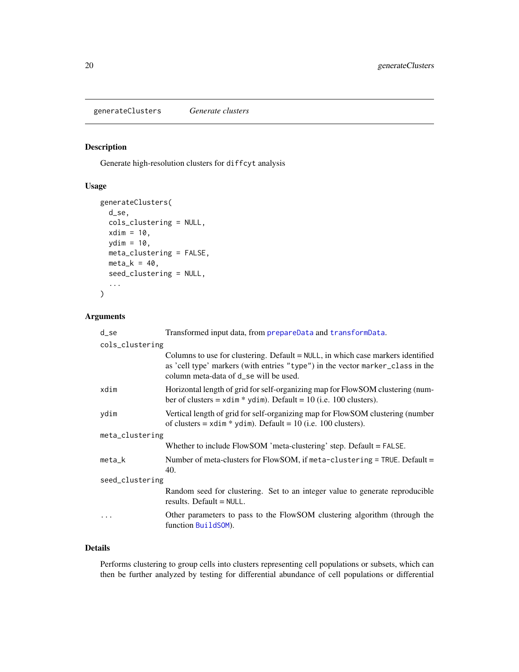<span id="page-19-1"></span><span id="page-19-0"></span>generateClusters *Generate clusters*

## Description

Generate high-resolution clusters for diffcyt analysis

## Usage

```
generateClusters(
  d_se,
  cols_clustering = NULL,
  xdim = 10,
  ydim = 10,
  meta_clustering = FALSE,
  meta_k = 40,
  seed_clustering = NULL,
  ...
)
```
## Arguments

| d_se            | Transformed input data, from prepareData and transformData.                                                                                                                                                   |  |
|-----------------|---------------------------------------------------------------------------------------------------------------------------------------------------------------------------------------------------------------|--|
| cols_clustering |                                                                                                                                                                                                               |  |
|                 | Columns to use for clustering. Default $=$ NULL, in which case markers identified<br>as 'cell type' markers (with entries "type") in the vector marker_class in the<br>column meta-data of d_se will be used. |  |
| xdim            | Horizontal length of grid for self-organizing map for FlowSOM clustering (num-<br>ber of clusters = $x \text{dim} * y \text{dim}$ . Default = 10 (i.e. 100 clusters).                                         |  |
| ydim            | Vertical length of grid for self-organizing map for FlowSOM clustering (number<br>of clusters = $xdim * ydim$ . Default = 10 (i.e. 100 clusters).                                                             |  |
| meta_clustering |                                                                                                                                                                                                               |  |
|                 | Whether to include $Flow SOM$ 'meta-clustering' step. Default = $FALSE.$                                                                                                                                      |  |
| $meta_k$        | Number of meta-clusters for FlowSOM, if meta-clustering = TRUE. Default =<br>40.                                                                                                                              |  |
| seed_clustering |                                                                                                                                                                                                               |  |
|                 | Random seed for clustering. Set to an integer value to generate reproducible<br>results. Default $=$ NULL.                                                                                                    |  |
|                 | Other parameters to pass to the FlowSOM clustering algorithm (through the<br>function BuildSOM).                                                                                                              |  |

## Details

Performs clustering to group cells into clusters representing cell populations or subsets, which can then be further analyzed by testing for differential abundance of cell populations or differential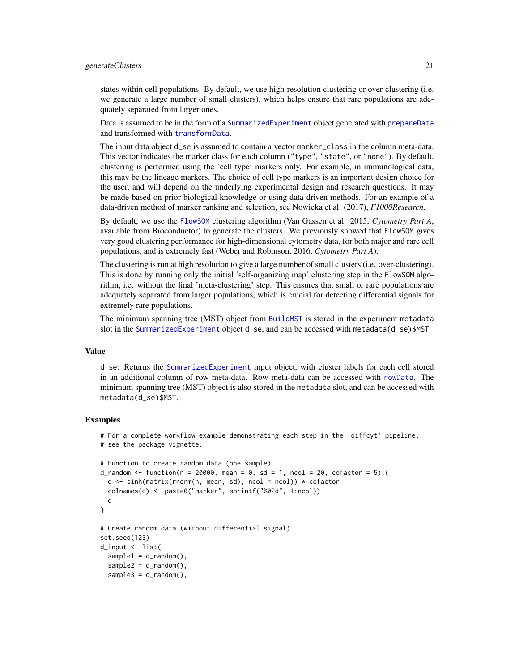<span id="page-20-0"></span>states within cell populations. By default, we use high-resolution clustering or over-clustering (i.e. we generate a large number of small clusters), which helps ensure that rare populations are adequately separated from larger ones.

Data is assumed to be in the form of a [SummarizedExperiment](#page-0-0) object generated with [prepareData](#page-24-1) and transformed with [transformData](#page-47-1).

The input data object d\_se is assumed to contain a vector marker\_class in the column meta-data. This vector indicates the marker class for each column ("type", "state", or "none"). By default, clustering is performed using the 'cell type' markers only. For example, in immunological data, this may be the lineage markers. The choice of cell type markers is an important design choice for the user, and will depend on the underlying experimental design and research questions. It may be made based on prior biological knowledge or using data-driven methods. For an example of a data-driven method of marker ranking and selection, see Nowicka et al. (2017), *F1000Research*.

By default, we use the [FlowSOM](#page-0-0) clustering algorithm (Van Gassen et al. 2015, *Cytometry Part A*, available from Bioconductor) to generate the clusters. We previously showed that FlowSOM gives very good clustering performance for high-dimensional cytometry data, for both major and rare cell populations, and is extremely fast (Weber and Robinson, 2016, *Cytometry Part A*).

The clustering is run at high resolution to give a large number of small clusters (i.e. over-clustering). This is done by running only the initial 'self-organizing map' clustering step in the FlowSOM algorithm, i.e. without the final 'meta-clustering' step. This ensures that small or rare populations are adequately separated from larger populations, which is crucial for detecting differential signals for extremely rare populations.

The minimum spanning tree (MST) object from [BuildMST](#page-0-0) is stored in the experiment metadata slot in the [SummarizedExperiment](#page-0-0) object d\_se, and can be accessed with metadata(d\_se)\$MST.

#### Value

d\_se: Returns the [SummarizedExperiment](#page-0-0) input object, with cluster labels for each cell stored in an additional column of row meta-data. Row meta-data can be accessed with [rowData](#page-0-0). The minimum spanning tree (MST) object is also stored in the metadata slot, and can be accessed with metadata(d\_se)\$MST.

```
# For a complete workflow example demonstrating each step in the 'diffcyt' pipeline,
# see the package vignette.
# Function to create random data (one sample)
d_random <- function(n = 20000, mean = 0, sd = 1, ncol = 20, cofactor = 5) {
 d \leq \sinh(\text{matrix}(rnorm(n, mean, sd), ncol = ncol)) * cofactorcolnames(d) <- paste0("marker", sprintf("%02d", 1:ncol))
 d
}
# Create random data (without differential signal)
set.seed(123)
d_input <- list(
 sample1 = d_random(),
 sample2 = d_r andom(),
 sample3 = d_random(),
```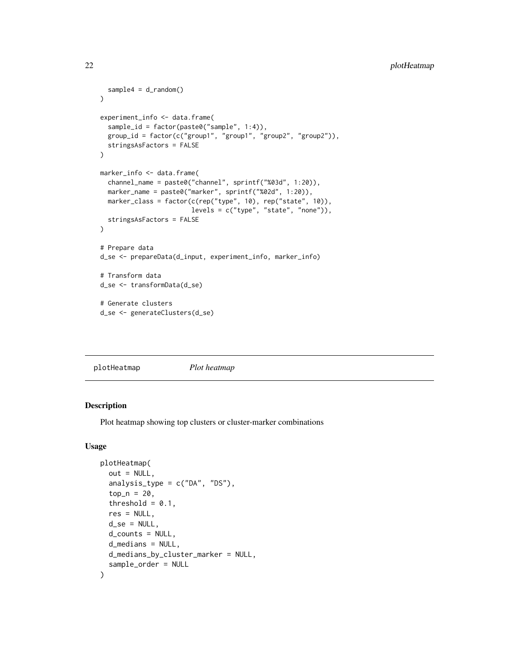```
sample4 = d_random())
experiment_info <- data.frame(
  sample_id = factor(paste0("sample", 1:4)),
  group_id = factor(c("group1", "group1", "group2", "group2")),
  stringsAsFactors = FALSE
\mathcal{L}marker_info <- data.frame(
  channel_name = paste0("channel", sprintf("%03d", 1:20)),
  marker_name = paste0("marker", sprintf("%02d", 1:20)),
  marker_class = factor(c(rep("type", 10), rep("state", 10)),
                        levels = c("type", "state", "none")),
  stringsAsFactors = FALSE
)
# Prepare data
d_se <- prepareData(d_input, experiment_info, marker_info)
# Transform data
d_se <- transformData(d_se)
# Generate clusters
d_se <- generateClusters(d_se)
```

|--|

## Description

Plot heatmap showing top clusters or cluster-marker combinations

#### Usage

```
plotHeatmap(
  out = NULL,analysis_type = c("DA", "DS"),top_n = 20,
  threshold = 0.1,
  res = NULL,
  d<sub>-Se</sub> = NULL,
  d_counts = NULL,
  d_medians = NULL,
  d_medians_by_cluster_marker = NULL,
  sample_order = NULL
)
```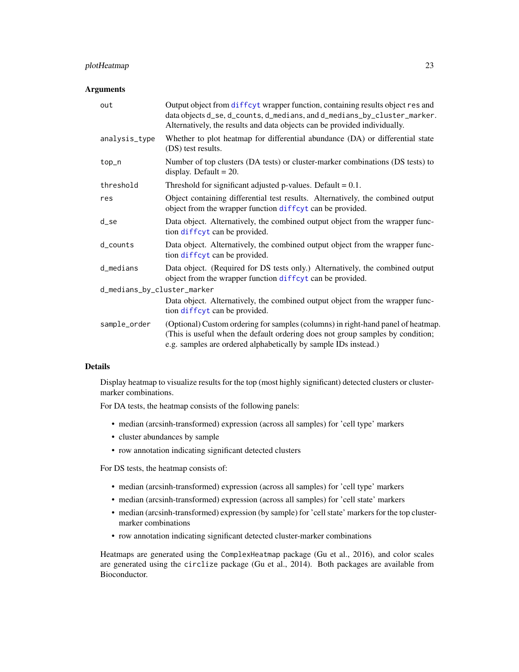## <span id="page-22-0"></span>plotHeatmap 23

## Arguments

| out                         | Output object from diffeyt wrapper function, containing results object res and<br>data objects d_se, d_counts, d_medians, and d_medians_by_cluster_marker.<br>Alternatively, the results and data objects can be provided individually. |
|-----------------------------|-----------------------------------------------------------------------------------------------------------------------------------------------------------------------------------------------------------------------------------------|
| analysis_type               | Whether to plot heatmap for differential abundance (DA) or differential state<br>(DS) test results.                                                                                                                                     |
| top_n                       | Number of top clusters (DA tests) or cluster-marker combinations (DS tests) to<br>display. Default = $20$ .                                                                                                                             |
| threshold                   | Threshold for significant adjusted p-values. Default $= 0.1$ .                                                                                                                                                                          |
| res                         | Object containing differential test results. Alternatively, the combined output<br>object from the wrapper function diffcyt can be provided.                                                                                            |
| d_se                        | Data object. Alternatively, the combined output object from the wrapper func-<br>tion diffeyt can be provided.                                                                                                                          |
| $d_{\text{-}counts}$        | Data object. Alternatively, the combined output object from the wrapper func-<br>tion diffeyt can be provided.                                                                                                                          |
| d_medians                   | Data object. (Required for DS tests only.) Alternatively, the combined output<br>object from the wrapper function diffcyt can be provided.                                                                                              |
| d_medians_by_cluster_marker |                                                                                                                                                                                                                                         |
|                             | Data object. Alternatively, the combined output object from the wrapper func-<br>tion diffeyt can be provided.                                                                                                                          |
| sample_order                | (Optional) Custom ordering for samples (columns) in right-hand panel of heatmap.<br>(This is useful when the default ordering does not group samples by condition;<br>e.g. samples are ordered alphabetically by sample IDs instead.)   |

## Details

Display heatmap to visualize results for the top (most highly significant) detected clusters or clustermarker combinations.

For DA tests, the heatmap consists of the following panels:

- median (arcsinh-transformed) expression (across all samples) for 'cell type' markers
- cluster abundances by sample
- row annotation indicating significant detected clusters

For DS tests, the heatmap consists of:

- median (arcsinh-transformed) expression (across all samples) for 'cell type' markers
- median (arcsinh-transformed) expression (across all samples) for 'cell state' markers
- median (arcsinh-transformed) expression (by sample) for 'cell state' markers for the top clustermarker combinations
- row annotation indicating significant detected cluster-marker combinations

Heatmaps are generated using the ComplexHeatmap package (Gu et al., 2016), and color scales are generated using the circlize package (Gu et al., 2014). Both packages are available from Bioconductor.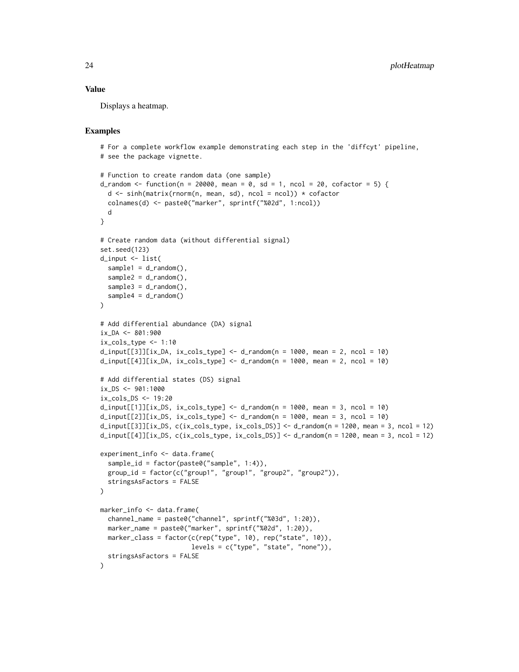#### Value

Displays a heatmap.

```
# For a complete workflow example demonstrating each step in the 'diffcyt' pipeline,
# see the package vignette.
# Function to create random data (one sample)
d_random \le function(n = 20000, mean = 0, sd = 1, ncol = 20, cofactor = 5) {
 d <- sinh(matrix(rnorm(n, mean, sd), ncol = ncol)) * cofactor
 colnames(d) <- paste0("marker", sprintf("%02d", 1:ncol))
 d
}
# Create random data (without differential signal)
set.seed(123)
d_input <- list(
 sample1 = d_r andom(),
 sample2 = d_r andom(),
 sample3 = d_random(),
 sample4 = d_random())
# Add differential abundance (DA) signal
ix\_DA < - 801:900ix\_cols\_type \leftarrow 1:10d_input[[3]][ix_DA, ix_cols_type] <- d_random(n = 1000, mean = 2, ncol = 10)
d_i = d_i = [4] [ix_DA, ix_Cols_type] < - d_i and m(n = 1000, mean = 2, ncol = 10)# Add differential states (DS) signal
ix_DS < -901:1000ix_cols_DS <- 19:20
d_input[[1]][ix_DS, ix_cols_type] <- d_random(n = 1000, mean = 3, ncol = 10)
d_i = \frac{d_i}{d_i} d_input[[2]][ix_DS, ix_cols_type] <- d_i andom(n = 1000, mean = 3, ncol = 10)
d_input[[3]][ix_DS, c(ix_cols_type, ix_cols_DS)] <- d_random(n = 1200, mean = 3, ncol = 12)
d_input[[4]][ix_DS, c(ix\_cols_type, ix\_cols_DS] <- d_random(n = 1200, mean = 3, ncol = 12)
experiment_info <- data.frame(
 sample_id = factor(paste0("sample", 1:4)),
 group_id = factor(c("group1", "group1", "group2", "group2")),
 stringsAsFactors = FALSE
\mathcal{L}marker_info <- data.frame(
 channel_name = paste0("channel", sprintf("%03d", 1:20)),
 marker_name = paste0("marker", sprintf("%02d", 1:20)),
 marker_class = factor(c(rep("type", 10), rep("state", 10)),
                        levels = c("type", "state", "none")),
 stringsAsFactors = FALSE
)
```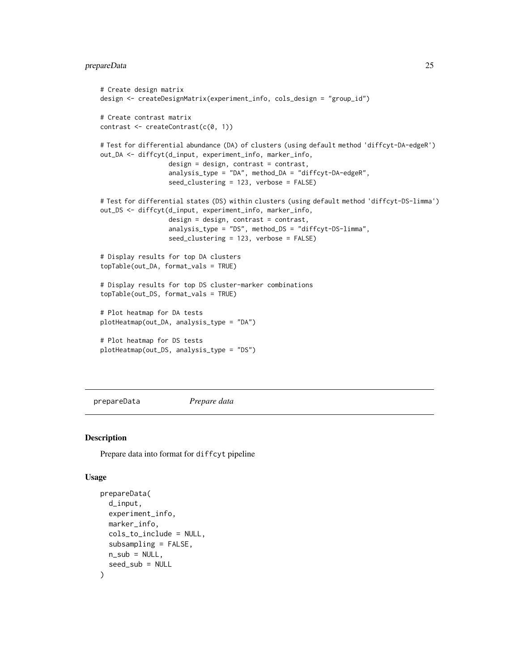## <span id="page-24-0"></span>prepareData 25

```
# Create design matrix
design <- createDesignMatrix(experiment_info, cols_design = "group_id")
# Create contrast matrix
contrast <- createContrast(c(0, 1))
# Test for differential abundance (DA) of clusters (using default method 'diffcyt-DA-edgeR')
out_DA <- diffcyt(d_input, experiment_info, marker_info,
                  design = design, contrast = contrast,
                  analysis_type = "DA", method_DA = "diffcyt-DA-edgeR",
                  seed_clustering = 123, verbose = FALSE)
# Test for differential states (DS) within clusters (using default method 'diffcyt-DS-limma')
out_DS <- diffcyt(d_input, experiment_info, marker_info,
                  design = design, contrast = contrast,
                  analysis_type = "DS", method_DS = "diffcyt-DS-limma",
                  seed_clustering = 123, verbose = FALSE)
# Display results for top DA clusters
topTable(out_DA, format_vals = TRUE)
# Display results for top DS cluster-marker combinations
topTable(out_DS, format_vals = TRUE)
# Plot heatmap for DA tests
plotHeatmap(out_DA, analysis_type = "DA")
# Plot heatmap for DS tests
plotHeatmap(out_DS, analysis_type = "DS")
```
<span id="page-24-1"></span>prepareData *Prepare data*

#### Description

Prepare data into format for diffcyt pipeline

#### Usage

```
prepareData(
  d_input,
  experiment_info,
  marker_info,
  cols_to_include = NULL,
  subsampling = FALSE,
 n\_sub = NULL,seed_sub = NULL
)
```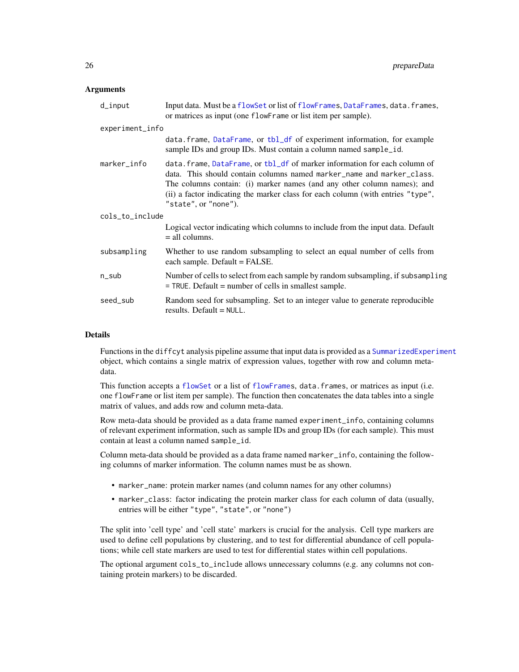#### <span id="page-25-0"></span>**Arguments**

| d_input         | Input data. Must be a flowSet or list of flowFrames, DataFrames, data. frames,<br>or matrices as input (one flowFrame or list item per sample).                                                                                                                                                                                          |
|-----------------|------------------------------------------------------------------------------------------------------------------------------------------------------------------------------------------------------------------------------------------------------------------------------------------------------------------------------------------|
| experiment_info |                                                                                                                                                                                                                                                                                                                                          |
|                 | data.frame, DataFrame, or tbl_df of experiment information, for example<br>sample IDs and group IDs. Must contain a column named sample_id.                                                                                                                                                                                              |
| marker_info     | data.frame, DataFrame, or tbl_df of marker information for each column of<br>data. This should contain columns named marker name and marker class.<br>The columns contain: (i) marker names (and any other column names); and<br>(ii) a factor indicating the marker class for each column (with entries "type",<br>"state", or "none"). |
| cols_to_include |                                                                                                                                                                                                                                                                                                                                          |
|                 | Logical vector indicating which columns to include from the input data. Default<br>$=$ all columns.                                                                                                                                                                                                                                      |
| subsampling     | Whether to use random subsampling to select an equal number of cells from<br>each sample. Default = FALSE.                                                                                                                                                                                                                               |
| n_sub           | Number of cells to select from each sample by random subsampling, if subsampling<br>$=$ TRUE. Default $=$ number of cells in smallest sample.                                                                                                                                                                                            |
| seed sub        | Random seed for subsampling. Set to an integer value to generate reproducible<br>results. Default $=$ NULL.                                                                                                                                                                                                                              |

#### Details

Functions in the diffcyt analysis pipeline assume that input data is provided as a [SummarizedExperiment](#page-0-0) object, which contains a single matrix of expression values, together with row and column metadata.

This function accepts a [flowSet](#page-0-0) or a list of [flowFrames](#page-0-0), data.frames, or matrices as input (i.e. one flowFrame or list item per sample). The function then concatenates the data tables into a single matrix of values, and adds row and column meta-data.

Row meta-data should be provided as a data frame named experiment\_info, containing columns of relevant experiment information, such as sample IDs and group IDs (for each sample). This must contain at least a column named sample\_id.

Column meta-data should be provided as a data frame named marker\_info, containing the following columns of marker information. The column names must be as shown.

- marker\_name: protein marker names (and column names for any other columns)
- marker\_class: factor indicating the protein marker class for each column of data (usually, entries will be either "type", "state", or "none")

The split into 'cell type' and 'cell state' markers is crucial for the analysis. Cell type markers are used to define cell populations by clustering, and to test for differential abundance of cell populations; while cell state markers are used to test for differential states within cell populations.

The optional argument cols\_to\_include allows unnecessary columns (e.g. any columns not containing protein markers) to be discarded.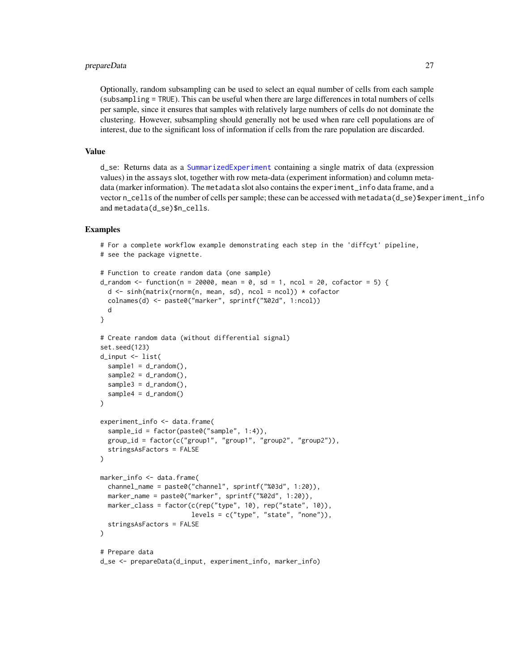## prepareData 27

Optionally, random subsampling can be used to select an equal number of cells from each sample (subsampling = TRUE). This can be useful when there are large differences in total numbers of cells per sample, since it ensures that samples with relatively large numbers of cells do not dominate the clustering. However, subsampling should generally not be used when rare cell populations are of interest, due to the significant loss of information if cells from the rare population are discarded.

## Value

d\_se: Returns data as a [SummarizedExperiment](#page-0-0) containing a single matrix of data (expression values) in the assays slot, together with row meta-data (experiment information) and column metadata (marker information). The metadata slot also contains the experiment\_info data frame, and a vector n\_cells of the number of cells per sample; these can be accessed with metadata(d\_se)\$experiment\_info and metadata(d\_se)\$n\_cells.

```
# For a complete workflow example demonstrating each step in the 'diffcyt' pipeline,
# see the package vignette.
# Function to create random data (one sample)
d_random \leq function(n = 20000, mean = 0, sd = 1, ncol = 20, cofactor = 5) {
  d <- sinh(matrix(rnorm(n, mean, sd), ncol = ncol)) * cofactor
  colnames(d) <- paste0("marker", sprintf("%02d", 1:ncol))
  d
}
# Create random data (without differential signal)
set.seed(123)
d_input <- list(
  sample1 = d_random(),
  sample2 = d_r andom(),
  sample3 = d_r andom(),
  sample4 = d_random()\lambdaexperiment_info <- data.frame(
  sample_id = factor(paste0("sample", 1:4)),
  group_id = factor(c("group1", "group1", "group2", "group2")),
  stringsAsFactors = FALSE
\lambdamarker_info <- data.frame(
  channel_name = paste0("channel", sprintf("%03d", 1:20)),
  marker_name = paste0("marker", sprintf("%02d", 1:20)),
  marker_class = factor(c(rep("type", 10), rep("state", 10)),
                         levels = c("type", "state", "none")),
  stringsAsFactors = FALSE
)
# Prepare data
d_se <- prepareData(d_input, experiment_info, marker_info)
```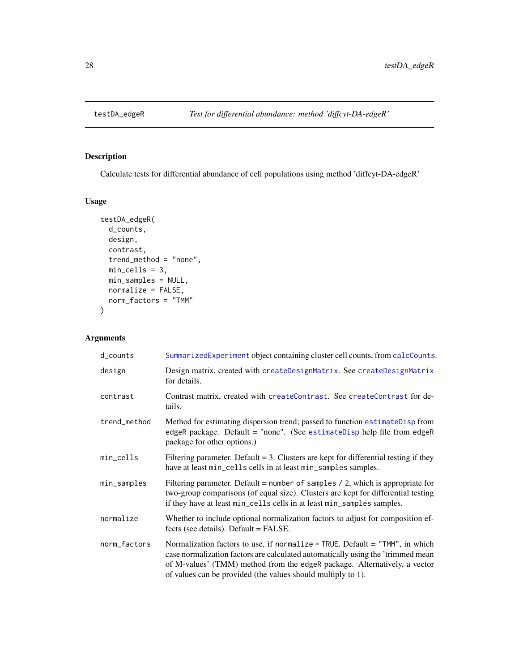<span id="page-27-1"></span><span id="page-27-0"></span>

## Description

Calculate tests for differential abundance of cell populations using method 'diffcyt-DA-edgeR'

## Usage

```
testDA_edgeR(
  d_counts,
 design,
 contrast,
  trend_method = "none",
 min_cells = 3,
 min_samples = NULL,
 normalize = FALSE,
 norm_factors = "TMM"
)
```
## Arguments

| $d_{\text{-}counts}$ | SummarizedExperiment object containing cluster cell counts, from calcCounts.                                                                                                                                                                                                                                 |
|----------------------|--------------------------------------------------------------------------------------------------------------------------------------------------------------------------------------------------------------------------------------------------------------------------------------------------------------|
| design               | Design matrix, created with createDesignMatrix. See createDesignMatrix<br>for details.                                                                                                                                                                                                                       |
| contrast             | Contrast matrix, created with createContrast. See createContrast for de-<br>tails.                                                                                                                                                                                                                           |
| trend_method         | Method for estimating dispersion trend; passed to function estimateDisp from<br>edgeR package. Default = "none". (See estimateDisp help file from edgeR<br>package for other options.)                                                                                                                       |
| min_cells            | Filtering parameter. Default $= 3$ . Clusters are kept for differential testing if they<br>have at least min_cells cells in at least min_samples samples.                                                                                                                                                    |
| min_samples          | Filtering parameter. Default = number of samples $/$ 2, which is appropriate for<br>two-group comparisons (of equal size). Clusters are kept for differential testing<br>if they have at least min_cells cells in at least min_samples samples.                                                              |
| normalize            | Whether to include optional normalization factors to adjust for composition ef-<br>fects (see details). Default = FALSE.                                                                                                                                                                                     |
| norm_factors         | Normalization factors to use, if normalize = TRUE. Default = "TMM", in which<br>case normalization factors are calculated automatically using the 'trimmed mean<br>of M-values' (TMM) method from the edgeR package. Alternatively, a vector<br>of values can be provided (the values should multiply to 1). |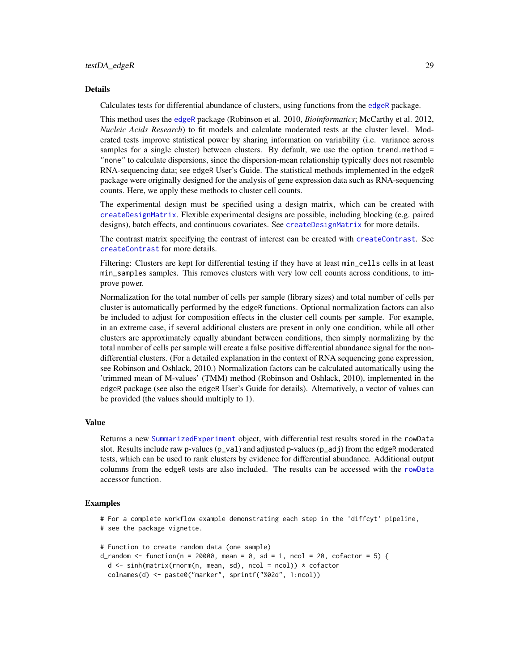#### <span id="page-28-0"></span>Details

Calculates tests for differential abundance of clusters, using functions from the [edgeR](#page-0-0) package.

This method uses the [edgeR](#page-0-0) package (Robinson et al. 2010, *Bioinformatics*; McCarthy et al. 2012, *Nucleic Acids Research*) to fit models and calculate moderated tests at the cluster level. Moderated tests improve statistical power by sharing information on variability (i.e. variance across samples for a single cluster) between clusters. By default, we use the option trend.method = "none" to calculate dispersions, since the dispersion-mean relationship typically does not resemble RNA-sequencing data; see edgeR User's Guide. The statistical methods implemented in the edgeR package were originally designed for the analysis of gene expression data such as RNA-sequencing counts. Here, we apply these methods to cluster cell counts.

The experimental design must be specified using a design matrix, which can be created with [createDesignMatrix](#page-9-1). Flexible experimental designs are possible, including blocking (e.g. paired designs), batch effects, and continuous covariates. See [createDesignMatrix](#page-9-1) for more details.

The contrast matrix specifying the contrast of interest can be created with [createContrast](#page-8-1). See [createContrast](#page-8-1) for more details.

Filtering: Clusters are kept for differential testing if they have at least min\_cells cells in at least min\_samples samples. This removes clusters with very low cell counts across conditions, to improve power.

Normalization for the total number of cells per sample (library sizes) and total number of cells per cluster is automatically performed by the edgeR functions. Optional normalization factors can also be included to adjust for composition effects in the cluster cell counts per sample. For example, in an extreme case, if several additional clusters are present in only one condition, while all other clusters are approximately equally abundant between conditions, then simply normalizing by the total number of cells per sample will create a false positive differential abundance signal for the nondifferential clusters. (For a detailed explanation in the context of RNA sequencing gene expression, see Robinson and Oshlack, 2010.) Normalization factors can be calculated automatically using the 'trimmed mean of M-values' (TMM) method (Robinson and Oshlack, 2010), implemented in the edgeR package (see also the edgeR User's Guide for details). Alternatively, a vector of values can be provided (the values should multiply to 1).

## Value

Returns a new [SummarizedExperiment](#page-0-0) object, with differential test results stored in the rowData slot. Results include raw p-values  $(p_1 \text{val})$  and adjusted p-values  $(p_2 \text{adj})$  from the edgeR moderated tests, which can be used to rank clusters by evidence for differential abundance. Additional output columns from the edgeR tests are also included. The results can be accessed with the [rowData](#page-0-0) accessor function.

```
# For a complete workflow example demonstrating each step in the 'diffcyt' pipeline,
# see the package vignette.
```

```
# Function to create random data (one sample)
```

```
d_random <- function(n = 20000, mean = 0, sd = 1, ncol = 20, cofactor = 5) {
 d <- sinh(matrix(rnorm(n, mean, sd), ncol = ncol)) * cofactor
```

```
colnames(d) <- paste0("marker", sprintf("%02d", 1:ncol))
```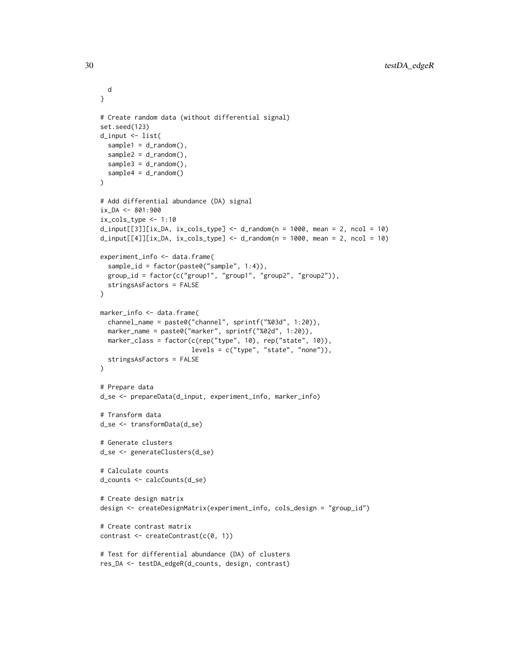```
d
}
# Create random data (without differential signal)
set.seed(123)
d_input <- list(
  sample1 = d_r andom(),
  sample2 = d_r andom(),
  sample3 = d_random(),
  sample4 = d_random()
\mathcal{L}# Add differential abundance (DA) signal
ix_DA <- 801:900
ix_cols_type <- 1:10
d_i = d_i = d_i d_input[[3]][ix_DA, ix_cols_type] <- d_i andom(n = 1000, mean = 2, ncol = 10)
d_iinput[[4]][ix_DA, ix_cols_type] <- d_i-random(n = 1000, mean = 2, ncol = 10)
experiment_info <- data.frame(
  sample_id = factor(paste0("sample", 1:4)),
  group_id = factor(c("group1", "group1", "group2", "group2")),
  stringsAsFactors = FALSE
\lambdamarker_info <- data.frame(
  channel_name = paste0("channel", sprintf("%03d", 1:20)),
  marker_name = paste0("marker", sprintf("%02d", 1:20)),
  marker_class = factor(c(rep("type", 10), rep("state", 10)),
                        levels = c("type", "state", "none")),
  stringsAsFactors = FALSE
\mathcal{L}# Prepare data
d_se <- prepareData(d_input, experiment_info, marker_info)
# Transform data
d_se <- transformData(d_se)
# Generate clusters
d_se <- generateClusters(d_se)
# Calculate counts
d_counts <- calcCounts(d_se)
# Create design matrix
design <- createDesignMatrix(experiment_info, cols_design = "group_id")
# Create contrast matrix
contrast <- createContrast(c(0, 1))
# Test for differential abundance (DA) of clusters
res_DA <- testDA_edgeR(d_counts, design, contrast)
```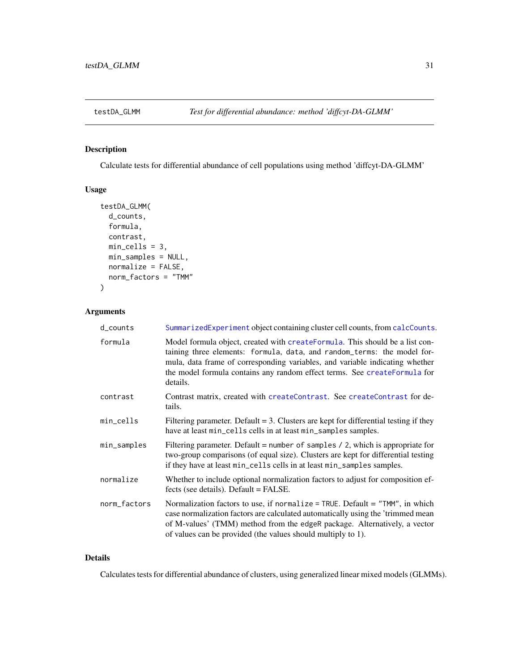<span id="page-30-1"></span><span id="page-30-0"></span>

## Description

Calculate tests for differential abundance of cell populations using method 'diffcyt-DA-GLMM'

## Usage

```
testDA_GLMM(
  d_counts,
  formula,
  contrast,
 min_cells = 3,
 min_samples = NULL,
 normalize = FALSE,
 norm_factors = "TMM"
)
```
## Arguments

| $d_{\text{-}counts}$ | SummarizedExperiment object containing cluster cell counts, from calcCounts.                                                                                                                                                                                                                                                      |
|----------------------|-----------------------------------------------------------------------------------------------------------------------------------------------------------------------------------------------------------------------------------------------------------------------------------------------------------------------------------|
| formula              | Model formula object, created with create Formula. This should be a list con-<br>taining three elements: formula, data, and random_terms: the model for-<br>mula, data frame of corresponding variables, and variable indicating whether<br>the model formula contains any random effect terms. See createFormula for<br>details. |
| contrast             | Contrast matrix, created with createContrast. See createContrast for de-<br>tails.                                                                                                                                                                                                                                                |
| min_cells            | Filtering parameter. Default $= 3$ . Clusters are kept for differential testing if they<br>have at least min_cells cells in at least min_samples samples.                                                                                                                                                                         |
| min_samples          | Filtering parameter. Default = number of samples $/$ 2, which is appropriate for<br>two-group comparisons (of equal size). Clusters are kept for differential testing<br>if they have at least min_cells cells in at least min_samples samples.                                                                                   |
| normalize            | Whether to include optional normalization factors to adjust for composition ef-<br>fects (see details). Default = FALSE.                                                                                                                                                                                                          |
| norm_factors         | Normalization factors to use, if normalize = TRUE. Default = "TMM", in which<br>case normalization factors are calculated automatically using the 'trimmed mean<br>of M-values' (TMM) method from the edgeR package. Alternatively, a vector<br>of values can be provided (the values should multiply to 1).                      |

## Details

Calculates tests for differential abundance of clusters, using generalized linear mixed models (GLMMs).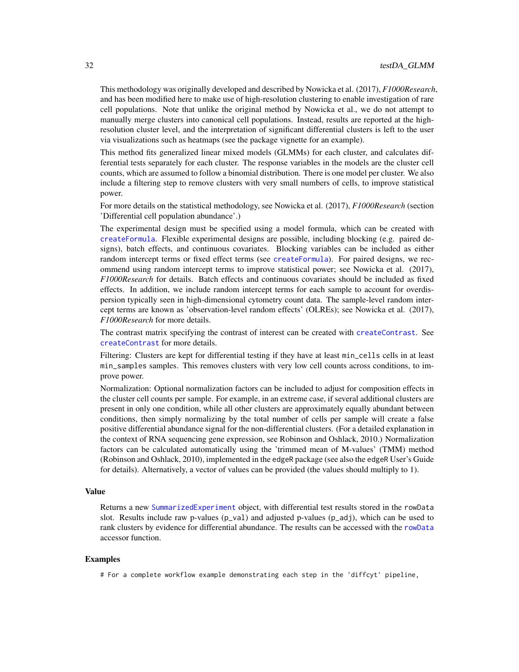<span id="page-31-0"></span>This methodology was originally developed and described by Nowicka et al. (2017), *F1000Research*, and has been modified here to make use of high-resolution clustering to enable investigation of rare cell populations. Note that unlike the original method by Nowicka et al., we do not attempt to manually merge clusters into canonical cell populations. Instead, results are reported at the highresolution cluster level, and the interpretation of significant differential clusters is left to the user via visualizations such as heatmaps (see the package vignette for an example).

This method fits generalized linear mixed models (GLMMs) for each cluster, and calculates differential tests separately for each cluster. The response variables in the models are the cluster cell counts, which are assumed to follow a binomial distribution. There is one model per cluster. We also include a filtering step to remove clusters with very small numbers of cells, to improve statistical power.

For more details on the statistical methodology, see Nowicka et al. (2017), *F1000Research* (section 'Differential cell population abundance'.)

The experimental design must be specified using a model formula, which can be created with [createFormula](#page-11-1). Flexible experimental designs are possible, including blocking (e.g. paired designs), batch effects, and continuous covariates. Blocking variables can be included as either random intercept terms or fixed effect terms (see [createFormula](#page-11-1)). For paired designs, we recommend using random intercept terms to improve statistical power; see Nowicka et al. (2017), *F1000Research* for details. Batch effects and continuous covariates should be included as fixed effects. In addition, we include random intercept terms for each sample to account for overdispersion typically seen in high-dimensional cytometry count data. The sample-level random intercept terms are known as 'observation-level random effects' (OLREs); see Nowicka et al. (2017), *F1000Research* for more details.

The contrast matrix specifying the contrast of interest can be created with [createContrast](#page-8-1). See [createContrast](#page-8-1) for more details.

Filtering: Clusters are kept for differential testing if they have at least min\_cells cells in at least min\_samples samples. This removes clusters with very low cell counts across conditions, to improve power.

Normalization: Optional normalization factors can be included to adjust for composition effects in the cluster cell counts per sample. For example, in an extreme case, if several additional clusters are present in only one condition, while all other clusters are approximately equally abundant between conditions, then simply normalizing by the total number of cells per sample will create a false positive differential abundance signal for the non-differential clusters. (For a detailed explanation in the context of RNA sequencing gene expression, see Robinson and Oshlack, 2010.) Normalization factors can be calculated automatically using the 'trimmed mean of M-values' (TMM) method (Robinson and Oshlack, 2010), implemented in the edgeR package (see also the edgeR User's Guide for details). Alternatively, a vector of values can be provided (the values should multiply to 1).

## Value

Returns a new [SummarizedExperiment](#page-0-0) object, with differential test results stored in the rowData slot. Results include raw p-values  $(p_{val})$  and adjusted p-values  $(p_{val})$ , which can be used to rank clusters by evidence for differential abundance. The results can be accessed with the [rowData](#page-0-0) accessor function.

## Examples

# For a complete workflow example demonstrating each step in the 'diffcyt' pipeline,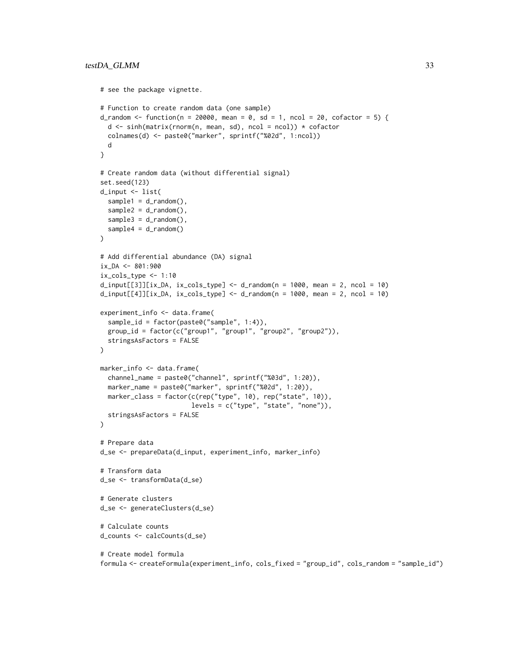```
# see the package vignette.
# Function to create random data (one sample)
d_random <- function(n = 20000, mean = 0, sd = 1, ncol = 20, cofactor = 5) {
  d <- sinh(matrix(rnorm(n, mean, sd), ncol = ncol)) * cofactor
  colnames(d) <- paste0("marker", sprintf("%02d", 1:ncol))
  d
}
# Create random data (without differential signal)
set.seed(123)
d_input <- list(
  sample1 = d_r andom(),
  sample2 = d_r andom(),
  sample3 = d_random(),
  sample4 = d_random()
)
# Add differential abundance (DA) signal
ix\_DA < - 801:900ix_cols_type <- 1:10
d_iinput[[3]][ix_DA, ix_cols_type] <- d_i-random(n = 1000, mean = 2, ncol = 10)
d_input[[4]][ix_DA, ix_cols_type] <- d_random(n = 1000, mean = 2, ncol = 10)
experiment_info <- data.frame(
  sample_id = factor(paste0("sample", 1:4)),
  group_id = factor(c("group1", "group1", "group2", "group2")),
  stringsAsFactors = FALSE
\mathcal{L}marker_info <- data.frame(
  channel_name = paste0("channel", sprintf("%03d", 1:20)),
  marker_name = paste0("marker", sprintf("%02d", 1:20)),
 marker_class = factor(c(rep("type", 10), rep("state", 10)),
                        levels = c("type", "state", "none")),
  stringsAsFactors = FALSE
\lambda# Prepare data
d_se <- prepareData(d_input, experiment_info, marker_info)
# Transform data
d_se <- transformData(d_se)
# Generate clusters
d_se <- generateClusters(d_se)
# Calculate counts
d_counts <- calcCounts(d_se)
# Create model formula
formula <- createFormula(experiment_info, cols_fixed = "group_id", cols_random = "sample_id")
```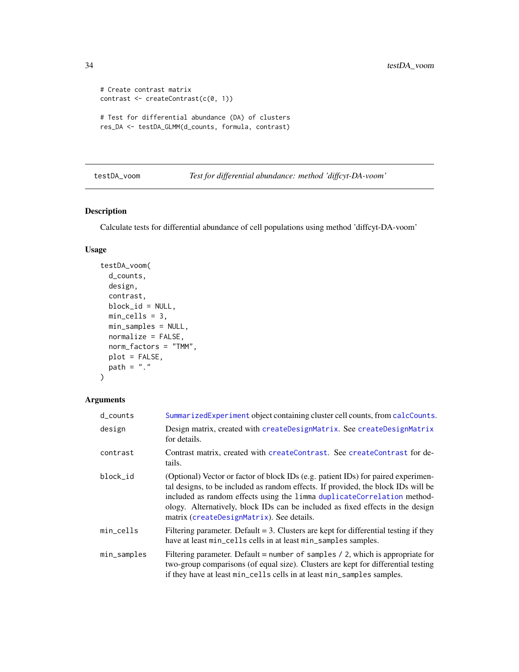```
# Create contrast matrix
contrast <- createContrast(c(0, 1))
# Test for differential abundance (DA) of clusters
res_DA <- testDA_GLMM(d_counts, formula, contrast)
```

```
testDA_voom Test for differential abundance: method 'diffcyt-DA-voom'
```
## Description

Calculate tests for differential abundance of cell populations using method 'diffcyt-DA-voom'

## Usage

```
testDA_voom(
  d_counts,
  design,
  contrast,
 block_id = NULL,
 min_cells = 3,
 min_samples = NULL,
 normalize = FALSE,
 norm_factors = "TMM",
 plot = FALSE,
 path = "."
\mathcal{E}
```
## Arguments

| $d_{\text{-}counts}$ | SummarizedExperiment object containing cluster cell counts, from calcCounts.                                                                                                                                                                                                                                                                                                     |
|----------------------|----------------------------------------------------------------------------------------------------------------------------------------------------------------------------------------------------------------------------------------------------------------------------------------------------------------------------------------------------------------------------------|
| design               | Design matrix, created with createDesignMatrix. See createDesignMatrix<br>for details.                                                                                                                                                                                                                                                                                           |
| contrast             | Contrast matrix, created with createContrast. See createContrast for de-<br>tails.                                                                                                                                                                                                                                                                                               |
| block_id             | (Optional) Vector or factor of block IDs (e.g. patient IDs) for paired experimen-<br>tal designs, to be included as random effects. If provided, the block IDs will be<br>included as random effects using the limma duplicateCorrelation method-<br>ology. Alternatively, block IDs can be included as fixed effects in the design<br>matrix (createDesignMatrix). See details. |
| min_cells            | Filtering parameter. Default $= 3$ . Clusters are kept for differential testing if they<br>have at least min_cells cells in at least min_samples samples.                                                                                                                                                                                                                        |
| min_samples          | Filtering parameter. Default = number of samples $\ell$ 2, which is appropriate for<br>two-group comparisons (of equal size). Clusters are kept for differential testing<br>if they have at least min_cells cells in at least min_samples samples.                                                                                                                               |

<span id="page-33-0"></span>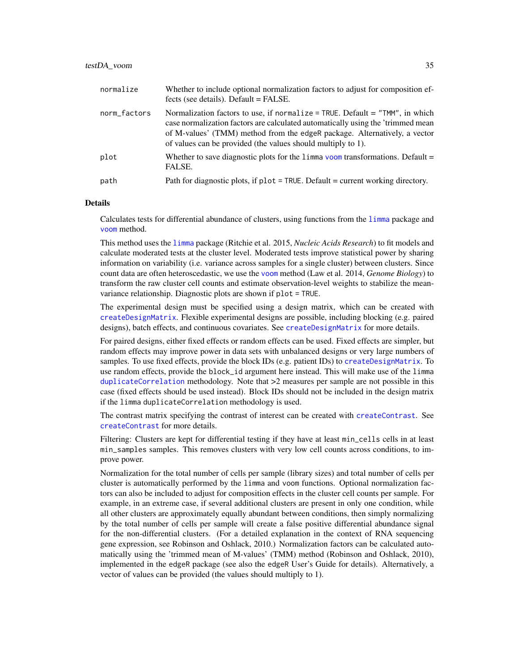#### <span id="page-34-0"></span>testDA\_voom 35

| normalize    | Whether to include optional normalization factors to adjust for composition ef-<br>fects (see details). Default = FALSE.                                                                                                                                                                                     |
|--------------|--------------------------------------------------------------------------------------------------------------------------------------------------------------------------------------------------------------------------------------------------------------------------------------------------------------|
| norm_factors | Normalization factors to use, if normalize = TRUE. Default = "TMM", in which<br>case normalization factors are calculated automatically using the 'trimmed mean<br>of M-values' (TMM) method from the edgeR package. Alternatively, a vector<br>of values can be provided (the values should multiply to 1). |
| plot         | Whether to save diagnostic plots for the $\lim_{n \to \infty}$ voom transformations. Default =<br>FALSE.                                                                                                                                                                                                     |
| path         | Path for diagnostic plots, if plot = TRUE. Default = current working directory.                                                                                                                                                                                                                              |

#### Details

Calculates tests for differential abundance of clusters, using functions from the [limma](#page-0-0) package and [voom](#page-0-0) method.

This method uses the [limma](#page-0-0) package (Ritchie et al. 2015, *Nucleic Acids Research*) to fit models and calculate moderated tests at the cluster level. Moderated tests improve statistical power by sharing information on variability (i.e. variance across samples for a single cluster) between clusters. Since count data are often heteroscedastic, we use the [voom](#page-0-0) method (Law et al. 2014, *Genome Biology*) to transform the raw cluster cell counts and estimate observation-level weights to stabilize the meanvariance relationship. Diagnostic plots are shown if plot = TRUE.

The experimental design must be specified using a design matrix, which can be created with [createDesignMatrix](#page-9-1). Flexible experimental designs are possible, including blocking (e.g. paired designs), batch effects, and continuous covariates. See [createDesignMatrix](#page-9-1) for more details.

For paired designs, either fixed effects or random effects can be used. Fixed effects are simpler, but random effects may improve power in data sets with unbalanced designs or very large numbers of samples. To use fixed effects, provide the block IDs (e.g. patient IDs) to [createDesignMatrix](#page-9-1). To use random effects, provide the block\_id argument here instead. This will make use of the limma [duplicateCorrelation](#page-0-0) methodology. Note that >2 measures per sample are not possible in this case (fixed effects should be used instead). Block IDs should not be included in the design matrix if the limma duplicateCorrelation methodology is used.

The contrast matrix specifying the contrast of interest can be created with [createContrast](#page-8-1). See [createContrast](#page-8-1) for more details.

Filtering: Clusters are kept for differential testing if they have at least min\_cells cells in at least min\_samples samples. This removes clusters with very low cell counts across conditions, to improve power.

Normalization for the total number of cells per sample (library sizes) and total number of cells per cluster is automatically performed by the limma and voom functions. Optional normalization factors can also be included to adjust for composition effects in the cluster cell counts per sample. For example, in an extreme case, if several additional clusters are present in only one condition, while all other clusters are approximately equally abundant between conditions, then simply normalizing by the total number of cells per sample will create a false positive differential abundance signal for the non-differential clusters. (For a detailed explanation in the context of RNA sequencing gene expression, see Robinson and Oshlack, 2010.) Normalization factors can be calculated automatically using the 'trimmed mean of M-values' (TMM) method (Robinson and Oshlack, 2010), implemented in the edgeR package (see also the edgeR User's Guide for details). Alternatively, a vector of values can be provided (the values should multiply to 1).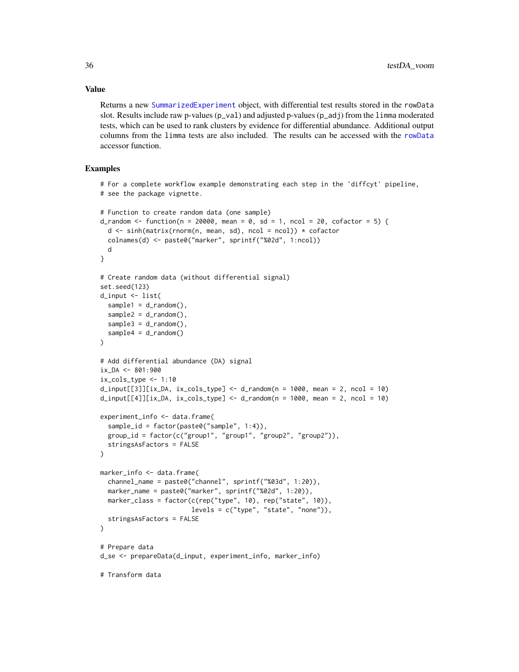Returns a new [SummarizedExperiment](#page-0-0) object, with differential test results stored in the rowData slot. Results include raw p-values (p\_val) and adjusted p-values (p\_adj) from the limma moderated tests, which can be used to rank clusters by evidence for differential abundance. Additional output columns from the limma tests are also included. The results can be accessed with the [rowData](#page-0-0) accessor function.

## Examples

```
# For a complete workflow example demonstrating each step in the 'diffcyt' pipeline,
# see the package vignette.
# Function to create random data (one sample)
d_random <- function(n = 20000, mean = 0, sd = 1, ncol = 20, cofactor = 5) {
  d \leq \sinh(\text{matrix}(rnorm(n, mean, sd), ncol = ncol)) * cofactorcolnames(d) <- paste0("marker", sprintf("%02d", 1:ncol))
  d
}
# Create random data (without differential signal)
set.seed(123)
d_input <- list(
  sample1 = d_r andom(),
  sample2 = d_r andom(),
  sample3 = d_r andom(),
  sample4 = d_r andom()
)
# Add differential abundance (DA) signal
ix\_DA < - 801:900ix\_cols\_type \leq -1:10d_i = \frac{d_i}{d_i} d_input[[3]][ix_DA, ix_cols_type] <- d_random(n = 1000, mean = 2, ncol = 10)
d_input[[4]][ix_DA, ix_cols_type] <- d_random(n = 1000, mean = 2, ncol = 10)
experiment_info <- data.frame(
  sample_id = factor(paste0("sample", 1:4)),
  group_id = factor(c("group1", "group1", "group2", "group2")),
  stringsAsFactors = FALSE
)
marker_info <- data.frame(
  channel_name = paste0("channel", sprintf("%03d", 1:20)),
  marker_name = paste0("marker", sprintf("%02d", 1:20)),
  marker_class = factor(c(rep("type", 10), rep("state", 10)),
                         levels = c("type", "state", "none")),
  stringsAsFactors = FALSE
)
# Prepare data
d_se <- prepareData(d_input, experiment_info, marker_info)
# Transform data
```
<span id="page-35-0"></span>

## Value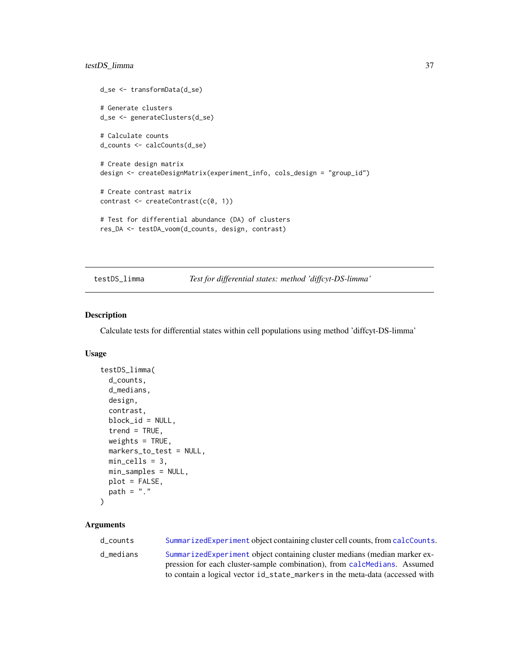## <span id="page-36-0"></span>testDS\_limma 37

```
d_se <- transformData(d_se)
# Generate clusters
d_se <- generateClusters(d_se)
# Calculate counts
d_counts <- calcCounts(d_se)
# Create design matrix
design <- createDesignMatrix(experiment_info, cols_design = "group_id")
# Create contrast matrix
contrast <- createContrast(c(0, 1))
# Test for differential abundance (DA) of clusters
res_DA <- testDA_voom(d_counts, design, contrast)
```
<span id="page-36-1"></span>testDS\_limma *Test for differential states: method 'diffcyt-DS-limma'*

## Description

Calculate tests for differential states within cell populations using method 'diffcyt-DS-limma'

## Usage

```
testDS_limma(
  d_counts,
  d_medians,
  design,
  contrast,
 block_id = NULL,
  trend = TRUE,
 weights = TRUE,
 markers_to_test = NULL,
 min_cells = 3,
 min_samples = NULL,
 plot = FALSE,
 path = "."
)
```
## Arguments

| d counts  | SummarizedExperiment object containing cluster cell counts, from calcCounts. |
|-----------|------------------------------------------------------------------------------|
| d medians | SummarizedExperiment object containing cluster medians (median marker ex-    |
|           | pression for each cluster-sample combination), from calchedians. Assumed     |
|           | to contain a logical vector id_state_markers in the meta-data (accessed with |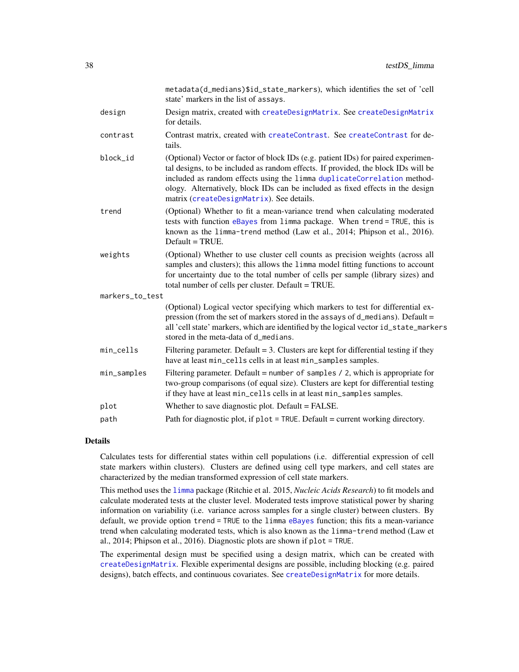<span id="page-37-0"></span>

|                 | metadata(d_medians)\$id_state_markers), which identifies the set of 'cell<br>state' markers in the list of assays.                                                                                                                                                                                                                                                               |
|-----------------|----------------------------------------------------------------------------------------------------------------------------------------------------------------------------------------------------------------------------------------------------------------------------------------------------------------------------------------------------------------------------------|
| design          | Design matrix, created with createDesignMatrix. See createDesignMatrix<br>for details.                                                                                                                                                                                                                                                                                           |
| contrast        | Contrast matrix, created with createContrast. See createContrast for de-<br>tails.                                                                                                                                                                                                                                                                                               |
| block_id        | (Optional) Vector or factor of block IDs (e.g. patient IDs) for paired experimen-<br>tal designs, to be included as random effects. If provided, the block IDs will be<br>included as random effects using the limma duplicateCorrelation method-<br>ology. Alternatively, block IDs can be included as fixed effects in the design<br>matrix (createDesignMatrix). See details. |
| trend           | (Optional) Whether to fit a mean-variance trend when calculating moderated<br>tests with function eBayes from limma package. When trend = TRUE, this is<br>known as the limma-trend method (Law et al., 2014; Phipson et al., 2016).<br>$Default = TRUE.$                                                                                                                        |
| weights         | (Optional) Whether to use cluster cell counts as precision weights (across all<br>samples and clusters); this allows the limma model fitting functions to account<br>for uncertainty due to the total number of cells per sample (library sizes) and<br>total number of cells per cluster. Default = TRUE.                                                                       |
| markers_to_test |                                                                                                                                                                                                                                                                                                                                                                                  |
|                 | (Optional) Logical vector specifying which markers to test for differential ex-<br>pression (from the set of markers stored in the assays of d_medians). Default =<br>all 'cell state' markers, which are identified by the logical vector id_state_markers<br>stored in the meta-data of d_medians.                                                                             |
| min_cells       | Filtering parameter. Default $= 3$ . Clusters are kept for differential testing if they<br>have at least min_cells cells in at least min_samples samples.                                                                                                                                                                                                                        |
| min_samples     | Filtering parameter. Default = number of samples $/$ 2, which is appropriate for<br>two-group comparisons (of equal size). Clusters are kept for differential testing<br>if they have at least min_cells cells in at least min_samples samples.                                                                                                                                  |
| plot            | Whether to save diagnostic plot. Default = FALSE.                                                                                                                                                                                                                                                                                                                                |
| path            | Path for diagnostic plot, if $plot = TRUE$ . Default = current working directory.                                                                                                                                                                                                                                                                                                |

#### Details

Calculates tests for differential states within cell populations (i.e. differential expression of cell state markers within clusters). Clusters are defined using cell type markers, and cell states are characterized by the median transformed expression of cell state markers.

This method uses the [limma](#page-0-0) package (Ritchie et al. 2015, *Nucleic Acids Research*) to fit models and calculate moderated tests at the cluster level. Moderated tests improve statistical power by sharing information on variability (i.e. variance across samples for a single cluster) between clusters. By default, we provide option trend = TRUE to the limma [eBayes](#page-0-0) function; this fits a mean-variance trend when calculating moderated tests, which is also known as the limma-trend method (Law et al., 2014; Phipson et al., 2016). Diagnostic plots are shown if plot = TRUE.

The experimental design must be specified using a design matrix, which can be created with [createDesignMatrix](#page-9-1). Flexible experimental designs are possible, including blocking (e.g. paired designs), batch effects, and continuous covariates. See [createDesignMatrix](#page-9-1) for more details.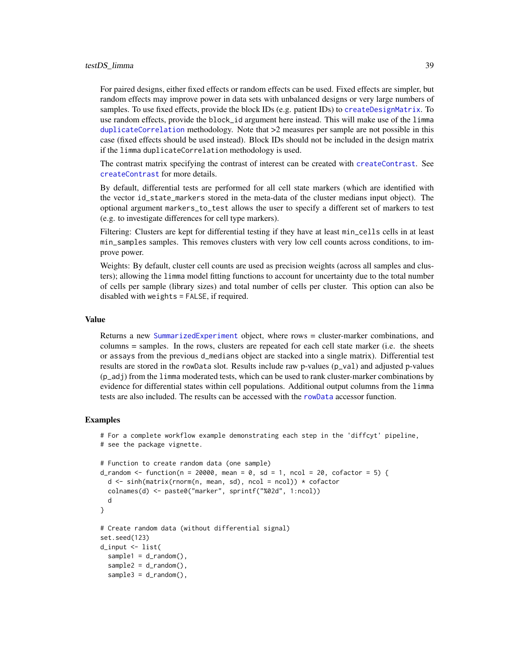<span id="page-38-0"></span>For paired designs, either fixed effects or random effects can be used. Fixed effects are simpler, but random effects may improve power in data sets with unbalanced designs or very large numbers of samples. To use fixed effects, provide the block IDs (e.g. patient IDs) to [createDesignMatrix](#page-9-1). To use random effects, provide the block\_id argument here instead. This will make use of the limma [duplicateCorrelation](#page-0-0) methodology. Note that >2 measures per sample are not possible in this case (fixed effects should be used instead). Block IDs should not be included in the design matrix if the limma duplicateCorrelation methodology is used.

The contrast matrix specifying the contrast of interest can be created with [createContrast](#page-8-1). See [createContrast](#page-8-1) for more details.

By default, differential tests are performed for all cell state markers (which are identified with the vector id\_state\_markers stored in the meta-data of the cluster medians input object). The optional argument markers\_to\_test allows the user to specify a different set of markers to test (e.g. to investigate differences for cell type markers).

Filtering: Clusters are kept for differential testing if they have at least min\_cells cells in at least min\_samples samples. This removes clusters with very low cell counts across conditions, to improve power.

Weights: By default, cluster cell counts are used as precision weights (across all samples and clusters); allowing the limma model fitting functions to account for uncertainty due to the total number of cells per sample (library sizes) and total number of cells per cluster. This option can also be disabled with weights = FALSE, if required.

#### Value

Returns a new [SummarizedExperiment](#page-0-0) object, where rows = cluster-marker combinations, and columns = samples. In the rows, clusters are repeated for each cell state marker (i.e. the sheets or assays from the previous d\_medians object are stacked into a single matrix). Differential test results are stored in the rowData slot. Results include raw p-values (p\_val) and adjusted p-values (p\_adj) from the limma moderated tests, which can be used to rank cluster-marker combinations by evidence for differential states within cell populations. Additional output columns from the limma tests are also included. The results can be accessed with the [rowData](#page-0-0) accessor function.

```
# For a complete workflow example demonstrating each step in the 'diffcyt' pipeline,
# see the package vignette.
# Function to create random data (one sample)
d_random <- function(n = 20000, mean = 0, sd = 1, ncol = 20, cofactor = 5) {
 d <- sinh(matrix(rnorm(n, mean, sd), ncol = ncol)) * cofactor
 colnames(d) <- paste0("marker", sprintf("%02d", 1:ncol))
 d
}
# Create random data (without differential signal)
set.seed(123)
d_input <- list(
 sample1 = d_random(),
 sample2 = d_r andom(),
 sample3 = d_random(),
```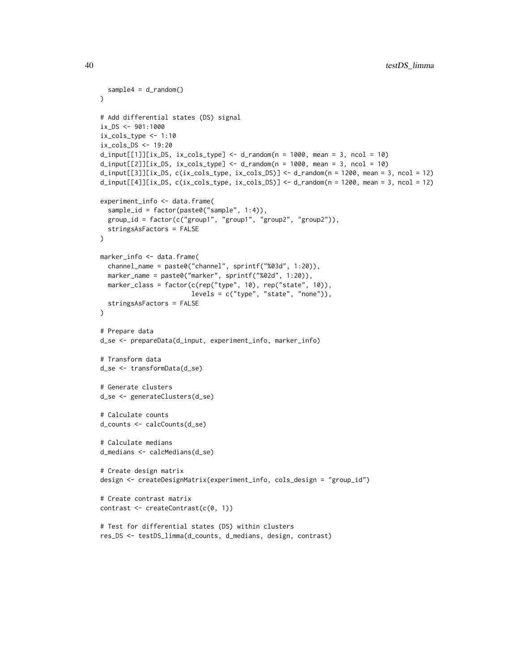```
sample4 = d_random())
# Add differential states (DS) signal
ix_DS <- 901:1000
ix\_cols\_type \leq -1:10ix_cols_DS <- 19:20
d_i = d_i = d_i = d_i d_input[[1]][ix_DS, ix_cols_type] <- d_i andom(n = 1000, mean = 3, ncol = 10)
d_i = \frac{d_i}{d_i} d_input[[2]][ix_DS, ix_cols_type] <- d_random(n = 1000, mean = 3, ncol = 10)
d_input[[3]][ix_DS, c(ix_cols_type, ix_cols_DS)] <- d_random(n = 1200, mean = 3, ncol = 12)
d_input[[4]][ix_DS, c(ix\_cols_type, ix\_cols_DS] <- d_random(n = 1200, mean = 3, ncol = 12)
experiment_info <- data.frame(
  sample_id = factor(paste0("sample", 1:4)),
  group_id = factor(c("group1", "group1", "group2", "group2")),
  stringsAsFactors = FALSE
)
marker_info <- data.frame(
  channel_name = paste0("channel", sprintf("%03d", 1:20)),
  marker_name = paste0("marker", sprintf("%02d", 1:20)),
  marker_class = factor(c(rep("type", 10), rep("state", 10)),
                         levels = c("type", "state", "none")),
  stringsAsFactors = FALSE
\mathcal{L}# Prepare data
d_se <- prepareData(d_input, experiment_info, marker_info)
# Transform data
d_se <- transformData(d_se)
# Generate clusters
d_se <- generateClusters(d_se)
# Calculate counts
d_counts <- calcCounts(d_se)
# Calculate medians
d_medians <- calcMedians(d_se)
# Create design matrix
design <- createDesignMatrix(experiment_info, cols_design = "group_id")
# Create contrast matrix
contrast <- createContrast(c(0, 1))
# Test for differential states (DS) within clusters
res_DS <- testDS_limma(d_counts, d_medians, design, contrast)
```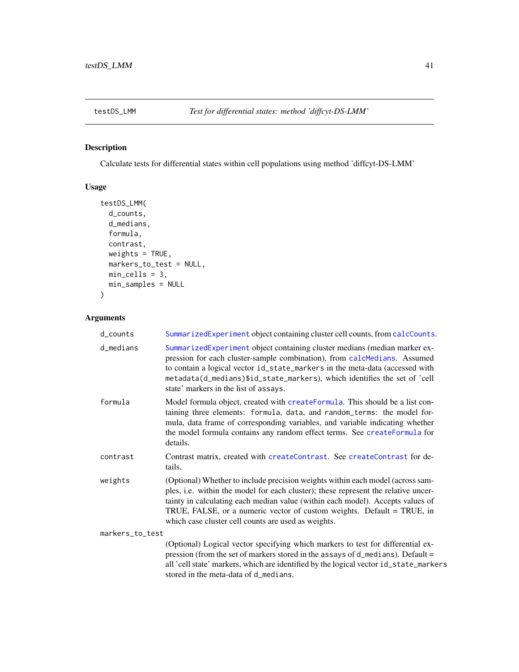<span id="page-40-1"></span><span id="page-40-0"></span>

## Description

Calculate tests for differential states within cell populations using method 'diffcyt-DS-LMM'

## Usage

```
testDS_LMM(
  d_counts,
  d_medians,
  formula,
  contrast,
 weights = TRUE,
 markers_to_test = NULL,
 min_cells = 3,
 min_samples = NULL
\mathcal{E}
```
## Arguments

| d_counts        | SummarizedExperiment object containing cluster cell counts, from calcCounts.                                                                                                                                                                                                                                                                                                            |
|-----------------|-----------------------------------------------------------------------------------------------------------------------------------------------------------------------------------------------------------------------------------------------------------------------------------------------------------------------------------------------------------------------------------------|
| d_medians       | SummarizedExperiment object containing cluster medians (median marker ex-<br>pression for each cluster-sample combination), from calcMedians. Assumed<br>to contain a logical vector id_state_markers in the meta-data (accessed with<br>metadata(d_medians)\$id_state_markers), which identifies the set of 'cell<br>state' markers in the list of assays.                             |
| formula         | Model formula object, created with createFormula. This should be a list con-<br>taining three elements: formula, data, and random_terms: the model for-<br>mula, data frame of corresponding variables, and variable indicating whether<br>the model formula contains any random effect terms. See createFormula for<br>details.                                                        |
| contrast        | Contrast matrix, created with createContrast. See createContrast for de-<br>tails.                                                                                                                                                                                                                                                                                                      |
| weights         | (Optional) Whether to include precision weights within each model (across sam-<br>ples, i.e. within the model for each cluster); these represent the relative uncer-<br>tainty in calculating each median value (within each model). Accepts values of<br>TRUE, FALSE, or a numeric vector of custom weights. Default = TRUE, in<br>which case cluster cell counts are used as weights. |
| markers_to_test |                                                                                                                                                                                                                                                                                                                                                                                         |
|                 | (Optional) Logical vector specifying which markers to test for differential ex-<br>pression (from the set of markers stored in the assays of $d$ medians). Default =<br>all 'cell state' markers, which are identified by the logical vector id_state_markers                                                                                                                           |

stored in the meta-data of d\_medians.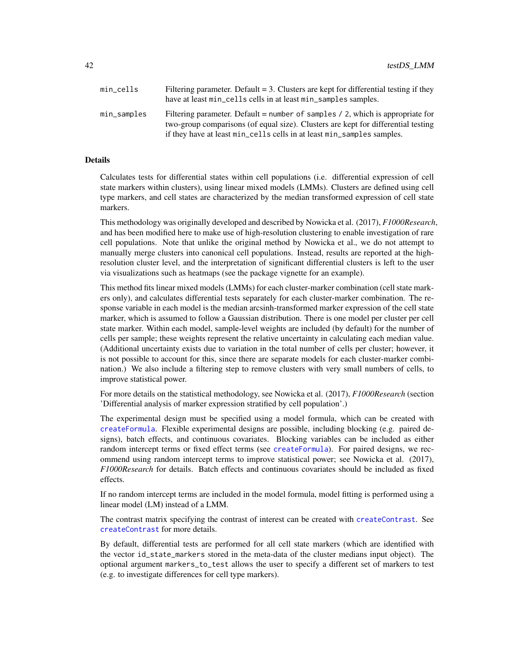<span id="page-41-0"></span>

| min_cells   | Filtering parameter. Default $=$ 3. Clusters are kept for differential testing if they<br>have at least min_cells cells in at least min_samples samples.                                                                                           |
|-------------|----------------------------------------------------------------------------------------------------------------------------------------------------------------------------------------------------------------------------------------------------|
| min_samples | Filtering parameter. Default = number of samples $\ell$ 2, which is appropriate for<br>two-group comparisons (of equal size). Clusters are kept for differential testing<br>if they have at least min_cells cells in at least min_samples samples. |

## Details

Calculates tests for differential states within cell populations (i.e. differential expression of cell state markers within clusters), using linear mixed models (LMMs). Clusters are defined using cell type markers, and cell states are characterized by the median transformed expression of cell state markers.

This methodology was originally developed and described by Nowicka et al. (2017), *F1000Research*, and has been modified here to make use of high-resolution clustering to enable investigation of rare cell populations. Note that unlike the original method by Nowicka et al., we do not attempt to manually merge clusters into canonical cell populations. Instead, results are reported at the highresolution cluster level, and the interpretation of significant differential clusters is left to the user via visualizations such as heatmaps (see the package vignette for an example).

This method fits linear mixed models (LMMs) for each cluster-marker combination (cell state markers only), and calculates differential tests separately for each cluster-marker combination. The response variable in each model is the median arcsinh-transformed marker expression of the cell state marker, which is assumed to follow a Gaussian distribution. There is one model per cluster per cell state marker. Within each model, sample-level weights are included (by default) for the number of cells per sample; these weights represent the relative uncertainty in calculating each median value. (Additional uncertainty exists due to variation in the total number of cells per cluster; however, it is not possible to account for this, since there are separate models for each cluster-marker combination.) We also include a filtering step to remove clusters with very small numbers of cells, to improve statistical power.

For more details on the statistical methodology, see Nowicka et al. (2017), *F1000Research* (section 'Differential analysis of marker expression stratified by cell population'.)

The experimental design must be specified using a model formula, which can be created with [createFormula](#page-11-1). Flexible experimental designs are possible, including blocking (e.g. paired designs), batch effects, and continuous covariates. Blocking variables can be included as either random intercept terms or fixed effect terms (see [createFormula](#page-11-1)). For paired designs, we recommend using random intercept terms to improve statistical power; see Nowicka et al. (2017), *F1000Research* for details. Batch effects and continuous covariates should be included as fixed effects.

If no random intercept terms are included in the model formula, model fitting is performed using a linear model (LM) instead of a LMM.

The contrast matrix specifying the contrast of interest can be created with [createContrast](#page-8-1). See [createContrast](#page-8-1) for more details.

By default, differential tests are performed for all cell state markers (which are identified with the vector id\_state\_markers stored in the meta-data of the cluster medians input object). The optional argument markers\_to\_test allows the user to specify a different set of markers to test (e.g. to investigate differences for cell type markers).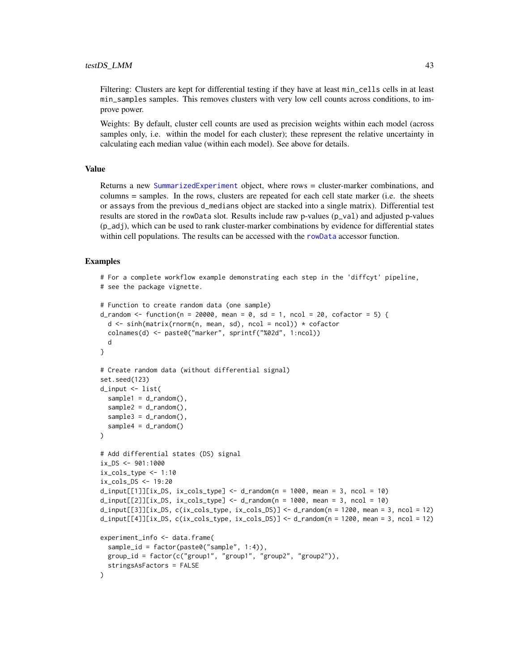#### <span id="page-42-0"></span>testDS\_LMM 43

Filtering: Clusters are kept for differential testing if they have at least min\_cells cells in at least min\_samples samples. This removes clusters with very low cell counts across conditions, to improve power.

Weights: By default, cluster cell counts are used as precision weights within each model (across samples only, i.e. within the model for each cluster); these represent the relative uncertainty in calculating each median value (within each model). See above for details.

## Value

Returns a new [SummarizedExperiment](#page-0-0) object, where rows = cluster-marker combinations, and columns = samples. In the rows, clusters are repeated for each cell state marker (i.e. the sheets or assays from the previous d\_medians object are stacked into a single matrix). Differential test results are stored in the rowData slot. Results include raw p-values (p\_val) and adjusted p-values (p\_adj), which can be used to rank cluster-marker combinations by evidence for differential states within cell populations. The results can be accessed with the [rowData](#page-0-0) accessor function.

```
# For a complete workflow example demonstrating each step in the 'diffcyt' pipeline,
# see the package vignette.
# Function to create random data (one sample)
d_random \le function(n = 20000, mean = 0, sd = 1, ncol = 20, cofactor = 5) {
 d <- sinh(matrix(rnorm(n, mean, sd), ncol = ncol)) * cofactor
 colnames(d) <- paste0("marker", sprintf("%02d", 1:ncol))
 d
}
# Create random data (without differential signal)
set.seed(123)
d_input <- list(
 sample1 = d_r andom(),
 sample2 = d_random(),
 sample3 = d_r andom(),
 sample4 = d_random())
# Add differential states (DS) signal
ix_DS < -901:1000ix_cols_type <- 1:10
ix_cols_DS <- 19:20
d_i = d_i = d_i d_input[[1]][ix_DS, ix_cols_type] <- d_i-random(n = 1000, mean = 3, ncol = 10)
d_i = d_i = d_i d_input[[2]][ix_DS, ix_cols_type] \le d_i andom(n = 1000, mean = 3, ncol = 10)
d_input[[3]][ix_DS, c(ix\_cols_type, ix\_cols_DS)] <- d_random(n = 1200, mean = 3, ncol = 12)
d_input[[4]][ix_DS, c(ix_cols_type, ix_cols_DS)] <- d_random(n = 1200, mean = 3, ncol = 12)
experiment_info <- data.frame(
 sample_id = factor(paste0("sample", 1:4)),
 group_id = factor(c("group1", "group1", "group2", "group2")),
 stringsAsFactors = FALSE
)
```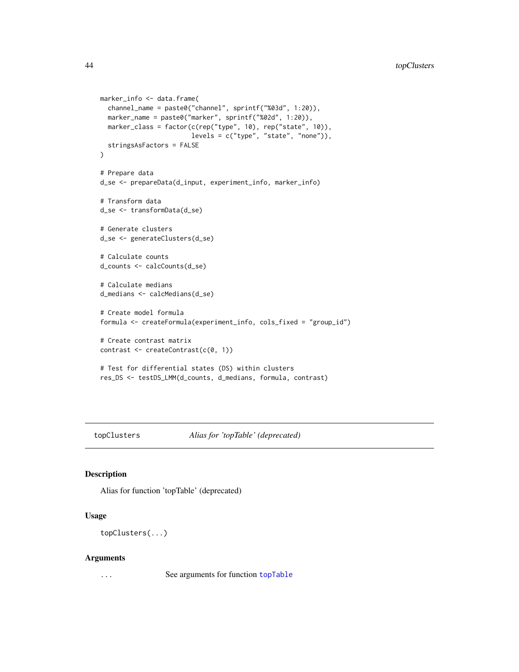```
marker_info <- data.frame(
  channel_name = paste0("channel", sprintf("%03d", 1:20)),
  marker_name = paste0("marker", sprintf("%02d", 1:20)),
  marker_class = factor(c(rep("type", 10), rep("state", 10)),
                        levels = c("type", "state", "none")),
  stringsAsFactors = FALSE
)
# Prepare data
d_se <- prepareData(d_input, experiment_info, marker_info)
# Transform data
d_se <- transformData(d_se)
# Generate clusters
d_se <- generateClusters(d_se)
# Calculate counts
d_counts <- calcCounts(d_se)
# Calculate medians
d_medians <- calcMedians(d_se)
# Create model formula
formula <- createFormula(experiment_info, cols_fixed = "group_id")
# Create contrast matrix
contrast <- createContrast(c(0, 1))
# Test for differential states (DS) within clusters
res_DS <- testDS_LMM(d_counts, d_medians, formula, contrast)
```
topClusters *Alias for 'topTable' (deprecated)*

#### Description

Alias for function 'topTable' (deprecated)

## Usage

topClusters(...)

#### Arguments

... See arguments for function [topTable](#page-44-1)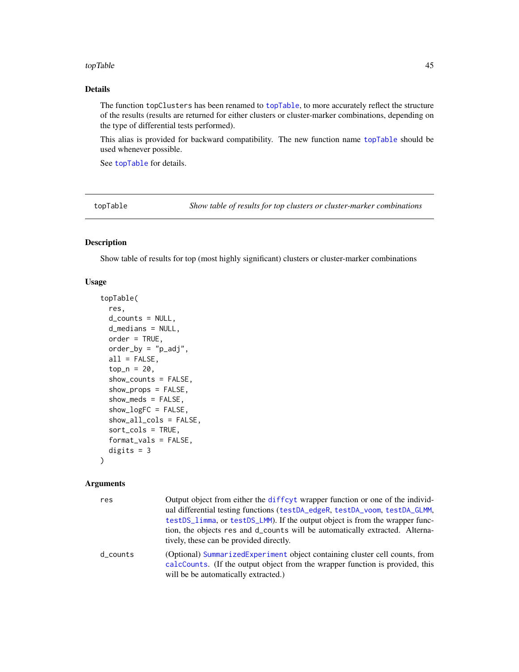#### <span id="page-44-0"></span>topTable 45

## Details

The function topClusters has been renamed to [topTable](#page-44-1), to more accurately reflect the structure of the results (results are returned for either clusters or cluster-marker combinations, depending on the type of differential tests performed).

This alias is provided for backward compatibility. The new function name [topTable](#page-44-1) should be used whenever possible.

See [topTable](#page-44-1) for details.

<span id="page-44-1"></span>topTable *Show table of results for top clusters or cluster-marker combinations*

## Description

Show table of results for top (most highly significant) clusters or cluster-marker combinations

#### Usage

```
topTable(
  res,
 d_{\text{counts}} = NULL,
 d_medians = NULL,
 order = TRUE,
  order_by = "p\_adj",all = FALSE,
  top_n = 20,
  show_counts = FALSE,
  show_props = FALSE,
  show_meds = FALSE,
  show_logFC = FALSE,
  show_all_cols = FALSE,
  sort_cols = TRUE,
  format_vals = FALSE,
  digits = 3
```
## )

#### Arguments

| res      | Output object from either the diffeyt wrapper function or one of the individ-                                                                                                                        |
|----------|------------------------------------------------------------------------------------------------------------------------------------------------------------------------------------------------------|
|          | ual differential testing functions (testDA_edgeR, testDA_voom, testDA_GLMM,                                                                                                                          |
|          | testDS_limma, or testDS_LMM). If the output object is from the wrapper func-                                                                                                                         |
|          | tion, the objects res and d_counts will be automatically extracted. Alterna-<br>tively, these can be provided directly.                                                                              |
| d_counts | (Optional) SummarizedExperiment object containing cluster cell counts, from<br>calcCounts. (If the output object from the wrapper function is provided, this<br>will be be automatically extracted.) |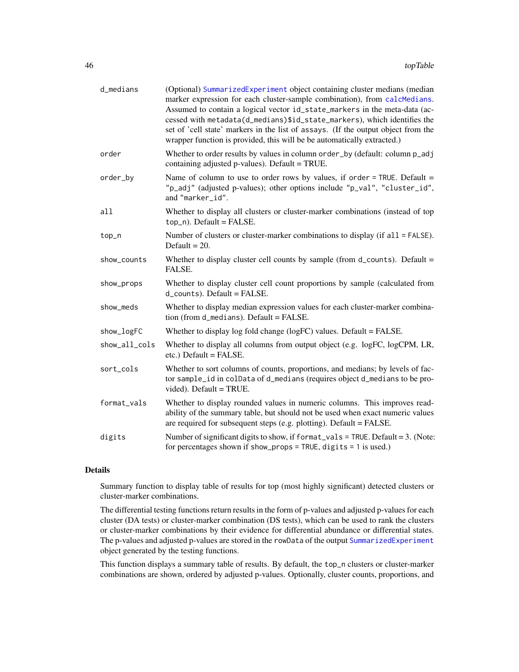<span id="page-45-0"></span>

| d_medians     | (Optional) SummarizedExperiment object containing cluster medians (median<br>marker expression for each cluster-sample combination), from calcMedians.<br>Assumed to contain a logical vector id_state_markers in the meta-data (ac-<br>cessed with metadata(d_medians)\$id_state_markers), which identifies the<br>set of 'cell state' markers in the list of assays. (If the output object from the<br>wrapper function is provided, this will be be automatically extracted.) |
|---------------|----------------------------------------------------------------------------------------------------------------------------------------------------------------------------------------------------------------------------------------------------------------------------------------------------------------------------------------------------------------------------------------------------------------------------------------------------------------------------------|
| order         | Whether to order results by values in column order_by (default: column p_adj<br>containing adjusted p-values). Default = TRUE.                                                                                                                                                                                                                                                                                                                                                   |
| order_by      | Name of column to use to order rows by values, if order = TRUE. Default =<br>"p_adj" (adjusted p-values); other options include "p_val", "cluster_id",<br>and "marker_id".                                                                                                                                                                                                                                                                                                       |
| all           | Whether to display all clusters or cluster-marker combinations (instead of top<br>top_n). Default = FALSE.                                                                                                                                                                                                                                                                                                                                                                       |
| top_n         | Number of clusters or cluster-marker combinations to display (if all = FALSE).<br>Default = $20$ .                                                                                                                                                                                                                                                                                                                                                                               |
| show_counts   | Whether to display cluster cell counts by sample (from d_counts). Default =<br>FALSE.                                                                                                                                                                                                                                                                                                                                                                                            |
| show_props    | Whether to display cluster cell count proportions by sample (calculated from<br>$d_{\text{}counts).$ Default = FALSE.                                                                                                                                                                                                                                                                                                                                                            |
| show_meds     | Whether to display median expression values for each cluster-marker combina-<br>tion (from d_medians). Default = FALSE.                                                                                                                                                                                                                                                                                                                                                          |
| show_logFC    | Whether to display log fold change (logFC) values. Default = FALSE.                                                                                                                                                                                                                                                                                                                                                                                                              |
| show_all_cols | Whether to display all columns from output object (e.g. logFC, logCPM, LR,<br>etc.) Default = FALSE.                                                                                                                                                                                                                                                                                                                                                                             |
| sort_cols     | Whether to sort columns of counts, proportions, and medians; by levels of fac-<br>tor sample_id in colData of d_medians (requires object d_medians to be pro-<br>vided). Default = TRUE.                                                                                                                                                                                                                                                                                         |
| format_vals   | Whether to display rounded values in numeric columns. This improves read-<br>ability of the summary table, but should not be used when exact numeric values<br>are required for subsequent steps (e.g. plotting). Default = $FALSE.$                                                                                                                                                                                                                                             |
| digits        | Number of significant digits to show, if format_vals = TRUE. Default = 3. (Note:<br>for percentages shown if show_props = TRUE, digits = $1$ is used.)                                                                                                                                                                                                                                                                                                                           |

#### Details

Summary function to display table of results for top (most highly significant) detected clusters or cluster-marker combinations.

The differential testing functions return results in the form of p-values and adjusted p-values for each cluster (DA tests) or cluster-marker combination (DS tests), which can be used to rank the clusters or cluster-marker combinations by their evidence for differential abundance or differential states. The p-values and adjusted p-values are stored in the rowData of the output [SummarizedExperiment](#page-0-0) object generated by the testing functions.

This function displays a summary table of results. By default, the top\_n clusters or cluster-marker combinations are shown, ordered by adjusted p-values. Optionally, cluster counts, proportions, and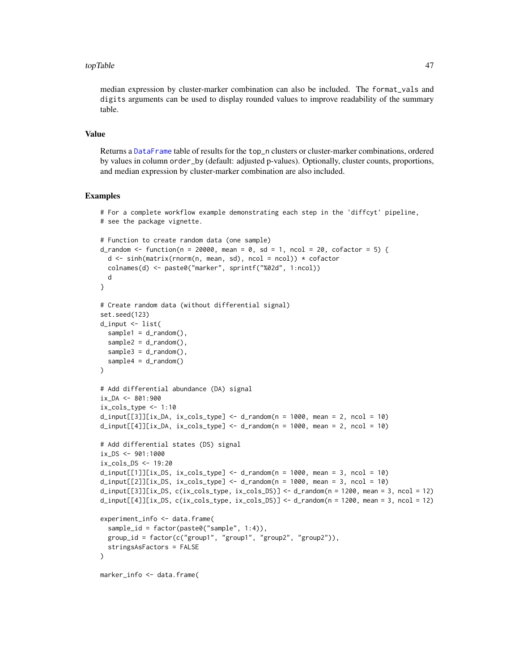#### <span id="page-46-0"></span>topTable 47

median expression by cluster-marker combination can also be included. The format\_vals and digits arguments can be used to display rounded values to improve readability of the summary table.

#### Value

Returns a [DataFrame](#page-0-0) table of results for the top\_n clusters or cluster-marker combinations, ordered by values in column order\_by (default: adjusted p-values). Optionally, cluster counts, proportions, and median expression by cluster-marker combination are also included.

```
# For a complete workflow example demonstrating each step in the 'diffcyt' pipeline,
# see the package vignette.
# Function to create random data (one sample)
d_random <- function(n = 20000, mean = 0, sd = 1, ncol = 20, cofactor = 5) {
  d <- sinh(matrix(rnorm(n, mean, sd), ncol = ncol)) * cofactor
  colnames(d) <- paste0("marker", sprintf("%02d", 1:ncol))
  d
}
# Create random data (without differential signal)
set.seed(123)
d_input <- list(
  sample1 = d_r andom(),
  sample2 = d_random(),
  sample3 = d_random(),
  sample4 = d_random())
# Add differential abundance (DA) signal
ix\_DA < - 801:900ix\_cols\_type \leq -1:10d_i = \frac{d_i}{d_i} d_input[[3]][ix_DA, ix_cols_type] <- d_random(n = 1000, mean = 2, ncol = 10)
d_i = d_i = d_i = d_i d_input[[4]][ix_DA, ix_cols_type] <- d_i andom(n = 1000, mean = 2, ncol = 10)
# Add differential states (DS) signal
ix_DS <- 901:1000
ix_cols_DS <- 19:20
d_i = d_i = d_i = d_i d_input[[1]][ix_DS, ix_cols_type] <- d_i_random(n = 1000, mean = 3, ncol = 10)
d_i = d_i = 10 d_input[[2]][ix_DS, ix_cols_type] \leq d_i d_random(n = 1000, mean = 3, ncol = 10)
d_input[[3]][ix_DS, c(ix_cols_type, ix_cols_DS)] <- d_random(n = 1200, mean = 3, ncol = 12)
d_input[[4]][ix_DS, c(ix_cols_type, ix_cols_DS)] <- d_random(n = 1200, mean = 3, ncol = 12)
experiment_info <- data.frame(
  sample_id = factor(paste0("sample", 1:4)),
  group_id = factor(c("group1", "group1", "group2", "group2")),
  stringsAsFactors = FALSE
)
marker_info <- data.frame(
```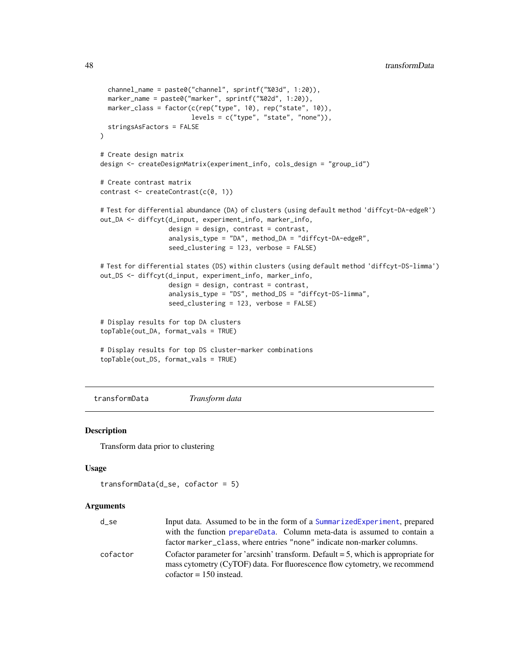```
channel_name = paste0("channel", sprintf("%03d", 1:20)),
 marker_name = paste0("marker", sprintf("%02d", 1:20)),
 marker_class = factor(c(rep("type", 10), rep("state", 10)),
                        levels = c("type", "state", "none")),
 stringsAsFactors = FALSE
)
# Create design matrix
design <- createDesignMatrix(experiment_info, cols_design = "group_id")
# Create contrast matrix
contrast <- createContrast(c(0, 1))
# Test for differential abundance (DA) of clusters (using default method 'diffcyt-DA-edgeR')
out_DA <- diffcyt(d_input, experiment_info, marker_info,
                  design = design, contrast = contrast,
                  analysis_type = "DA", method_DA = "diffcyt-DA-edgeR",
                  seed_clustering = 123, verbose = FALSE)
# Test for differential states (DS) within clusters (using default method 'diffcyt-DS-limma')
out_DS <- diffcyt(d_input, experiment_info, marker_info,
                  design = design, contrast = contrast,
                  analysis_type = "DS", method_DS = "diffcyt-DS-limma",
                  seed_clustering = 123, verbose = FALSE)
# Display results for top DA clusters
topTable(out_DA, format_vals = TRUE)
# Display results for top DS cluster-marker combinations
topTable(out_DS, format_vals = TRUE)
```
<span id="page-47-1"></span>transformData *Transform data*

#### Description

Transform data prior to clustering

## Usage

```
transformData(d_se, cofactor = 5)
```
#### **Arguments**

| $d$ _se  | Input data. Assumed to be in the form of a Summarized Experiment, prepared                                                                                        |
|----------|-------------------------------------------------------------------------------------------------------------------------------------------------------------------|
|          | with the function prepareData. Column meta-data is assumed to contain a                                                                                           |
|          | factor marker_class, where entries "none" indicate non-marker columns.                                                                                            |
| cofactor | Cofactor parameter for 'arcsinh' transform. Default $=$ 5, which is appropriate for<br>mass cytometry (CyTOF) data. For fluorescence flow cytometry, we recommend |
|          | $cofactor = 150$ instead.                                                                                                                                         |

<span id="page-47-0"></span>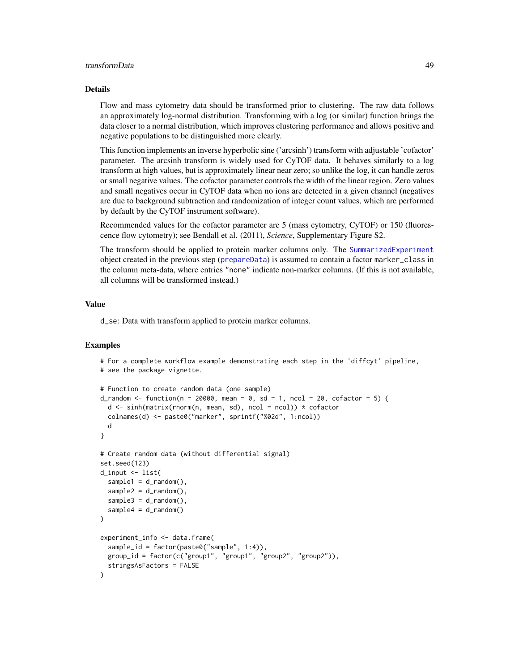## <span id="page-48-0"></span>transformData 49

#### Details

Flow and mass cytometry data should be transformed prior to clustering. The raw data follows an approximately log-normal distribution. Transforming with a log (or similar) function brings the data closer to a normal distribution, which improves clustering performance and allows positive and negative populations to be distinguished more clearly.

This function implements an inverse hyperbolic sine ('arcsinh') transform with adjustable 'cofactor' parameter. The arcsinh transform is widely used for CyTOF data. It behaves similarly to a log transform at high values, but is approximately linear near zero; so unlike the log, it can handle zeros or small negative values. The cofactor parameter controls the width of the linear region. Zero values and small negatives occur in CyTOF data when no ions are detected in a given channel (negatives are due to background subtraction and randomization of integer count values, which are performed by default by the CyTOF instrument software).

Recommended values for the cofactor parameter are 5 (mass cytometry, CyTOF) or 150 (fluorescence flow cytometry); see Bendall et al. (2011), *Science*, Supplementary Figure S2.

The transform should be applied to protein marker columns only. The [SummarizedExperiment](#page-0-0) object created in the previous step ([prepareData](#page-24-1)) is assumed to contain a factor marker\_class in the column meta-data, where entries "none" indicate non-marker columns. (If this is not available, all columns will be transformed instead.)

#### Value

d\_se: Data with transform applied to protein marker columns.

```
# For a complete workflow example demonstrating each step in the 'diffcyt' pipeline,
# see the package vignette.
# Function to create random data (one sample)
d_random <- function(n = 20000, mean = 0, sd = 1, ncol = 20, cofactor = 5) {
 d \leq \sinh(\text{matrix}(rnorm(n, mean, sd), ncol = ncol)) * cofactorcolnames(d) <- paste0("marker", sprintf("%02d", 1:ncol))
 d
}
# Create random data (without differential signal)
set.seed(123)
d_input <- list(
 sample1 = d_random(),
 sample2 = d_r andom(),
 sample3 = d_random(),
 sample4 = d_random())
experiment_info <- data.frame(
 sample_id = factor(paste0("sample", 1:4)),
 group_id = factor(c("group1", "group1", "group2", "group2")),
 stringsAsFactors = FALSE
)
```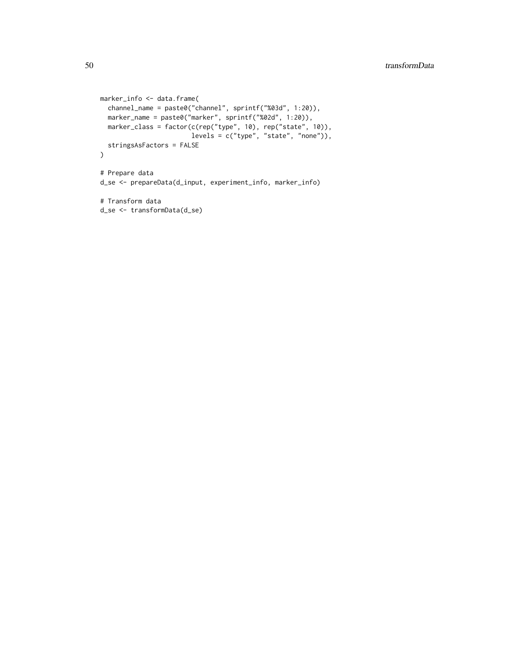```
marker_info <- data.frame(
  channel_name = paste0("channel", sprintf("%03d", 1:20)),
  marker_name = paste0("marker", sprintf("%02d", 1:20)),
 marker_class = factor(c(rep("type", 10), rep("state", 10)),
                       levels = c("type", "state", "none")),
  stringsAsFactors = FALSE
)
# Prepare data
d_se <- prepareData(d_input, experiment_info, marker_info)
# Transform data
d_se <- transformData(d_se)
```